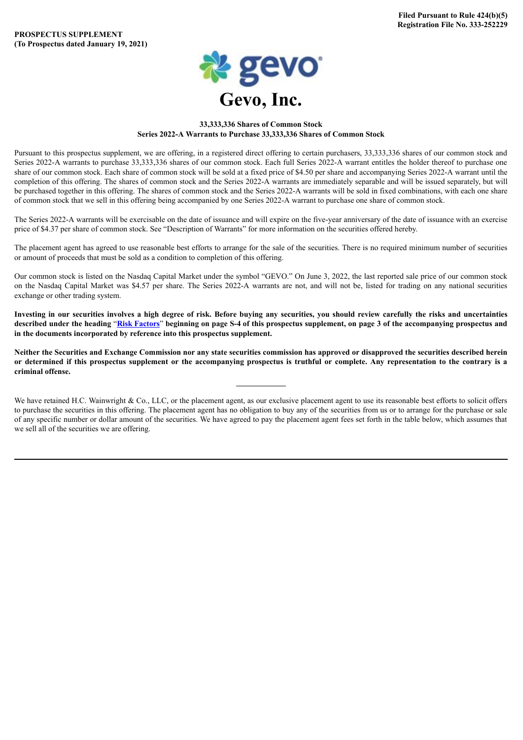

# **33,333,336 Shares of Common Stock Series 2022-A Warrants to Purchase 33,333,336 Shares of Common Stock**

Pursuant to this prospectus supplement, we are offering, in a registered direct offering to certain purchasers, 33,333,336 shares of our common stock and Series 2022-A warrants to purchase 33,333,336 shares of our common stock. Each full Series 2022-A warrant entitles the holder thereof to purchase one share of our common stock. Each share of common stock will be sold at a fixed price of \$4.50 per share and accompanying Series 2022-A warrant until the completion of this offering. The shares of common stock and the Series 2022-A warrants are immediately separable and will be issued separately, but will be purchased together in this offering. The shares of common stock and the Series 2022-A warrants will be sold in fixed combinations, with each one share of common stock that we sell in this offering being accompanied by one Series 2022-A warrant to purchase one share of common stock.

The Series 2022-A warrants will be exercisable on the date of issuance and will expire on the five-year anniversary of the date of issuance with an exercise price of \$4.37 per share of common stock. See "Description of Warrants" for more information on the securities offered hereby.

The placement agent has agreed to use reasonable best efforts to arrange for the sale of the securities. There is no required minimum number of securities or amount of proceeds that must be sold as a condition to completion of this offering.

Our common stock is listed on the Nasdaq Capital Market under the symbol "GEVO." On June 3, 2022, the last reported sale price of our common stock on the Nasdaq Capital Market was \$4.57 per share. The Series 2022-A warrants are not, and will not be, listed for trading on any national securities exchange or other trading system.

Investing in our securities involves a high degree of risk. Before buying any securities, you should review carefully the risks and uncertainties described under the heading "Risk [Factors](#page-10-0)" beginning on page S-4 of this prospectus supplement, on page 3 of the accompanying prospectus and **in the documents incorporated by reference into this prospectus supplement.**

Neither the Securities and Exchange Commission nor any state securities commission has approved or disapproved the securities described herein or determined if this prospectus supplement or the accompanying prospectus is truthful or complete. Any representation to the contrary is a **criminal offense.**

We have retained H.C. Wainwright & Co., LLC, or the placement agent, as our exclusive placement agent to use its reasonable best efforts to solicit offers to purchase the securities in this offering. The placement agent has no obligation to buy any of the securities from us or to arrange for the purchase or sale of any specific number or dollar amount of the securities. We have agreed to pay the placement agent fees set forth in the table below, which assumes that we sell all of the securities we are offering.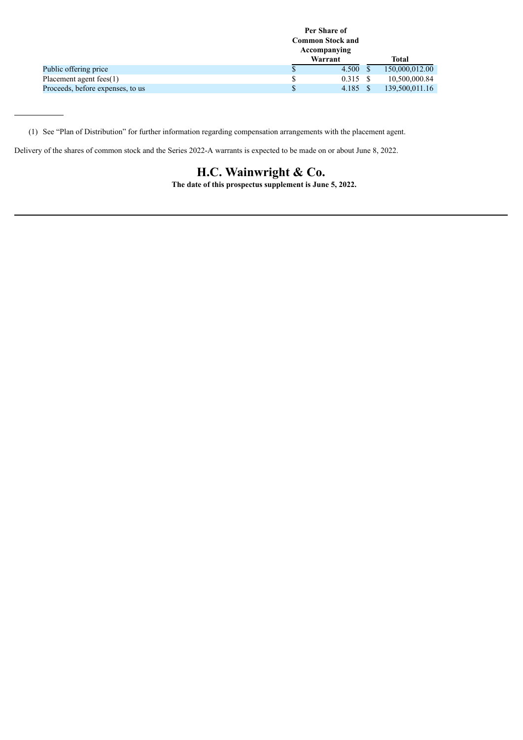|                                  |         | Per Share of<br><b>Common Stock and</b><br>Accompanying |  |                |  |
|----------------------------------|---------|---------------------------------------------------------|--|----------------|--|
|                                  | Warrant |                                                         |  | Total          |  |
| Public offering price            | P       | 4.500 S                                                 |  | 150,000,012.00 |  |
| Placement agent fees(1)          |         | 0.315 S                                                 |  | 10,500,000.84  |  |
| Proceeds, before expenses, to us |         | 4.185 \$                                                |  | 139,500,011.16 |  |

(1) See "Plan of Distribution" for further information regarding compensation arrangements with the placement agent.

Delivery of the shares of common stock and the Series 2022-A warrants is expected to be made on or about June 8, 2022.

# **H.C. Wainwright & Co.**

**The date of this prospectus supplement is June 5, 2022.**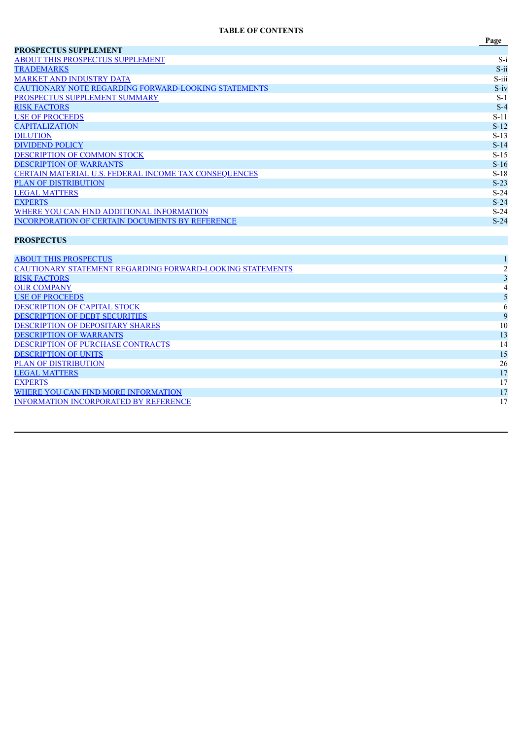# **TABLE OF CONTENTS**

|                                                             | Page    |
|-------------------------------------------------------------|---------|
| <b>PROSPECTUS SUPPLEMENT</b>                                |         |
| <b>ABOUT THIS PROSPECTUS SUPPLEMENT</b>                     | $S-i$   |
| <b>TRADEMARKS</b>                                           | $S$ -ii |
| <b>MARKET AND INDUSTRY DATA</b>                             | S-iii   |
| <b>CAUTIONARY NOTE REGARDING FORWARD-LOOKING STATEMENTS</b> | $S-iv$  |
| PROSPECTUS SUPPLEMENT SUMMARY                               | $S-1$   |
| <b>RISK FACTORS</b>                                         | $S-4$   |
| <b>USE OF PROCEEDS</b>                                      | $S-11$  |
| <b>CAPITALIZATION</b>                                       | $S-12$  |
| <b>DILUTION</b>                                             | $S-13$  |
| <b>DIVIDEND POLICY</b>                                      | $S-14$  |
| DESCRIPTION OF COMMON STOCK                                 | $S-15$  |
| <b>DESCRIPTION OF WARRANTS</b>                              | $S-16$  |
| CERTAIN MATERIAL U.S. FEDERAL INCOME TAX CONSEQUENCES       | $S-18$  |
| <b>PLAN OF DISTRIBUTION</b>                                 | $S-23$  |
| <b>LEGAL MATTERS</b>                                        | $S-24$  |
| <b>EXPERTS</b>                                              | $S-24$  |
| WHERE YOU CAN FIND ADDITIONAL INFORMATION                   | $S-24$  |
| INCORPORATION OF CERTAIN DOCUMENTS BY REFERENCE             | $S-24$  |

# **PROSPECTUS**

| <b>ABOUT THIS PROSPECTUS</b>                              |    |
|-----------------------------------------------------------|----|
| CAUTIONARY STATEMENT REGARDING FORWARD-LOOKING STATEMENTS |    |
| <b>RISK FACTORS</b>                                       |    |
| <b>OUR COMPANY</b>                                        |    |
| <b>USE OF PROCEEDS</b>                                    |    |
| <b>DESCRIPTION OF CAPITAL STOCK</b>                       |    |
| <b>DESCRIPTION OF DEBT SECURITIES</b>                     |    |
| <b>DESCRIPTION OF DEPOSITARY SHARES</b>                   | 10 |
| <b>DESCRIPTION OF WARRANTS</b>                            | 13 |
| <b>DESCRIPTION OF PURCHASE CONTRACTS</b>                  | 14 |
| <b>DESCRIPTION OF UNITS</b>                               | 15 |
| <b>PLAN OF DISTRIBUTION</b>                               | 26 |
| <b>LEGAL MATTERS</b>                                      | 17 |
| <b>EXPERTS</b>                                            | 17 |
| WHERE YOU CAN FIND MORE INFORMATION                       | 17 |
| <b>INFORMATION INCORPORATED BY REFERENCE</b>              | 17 |
|                                                           |    |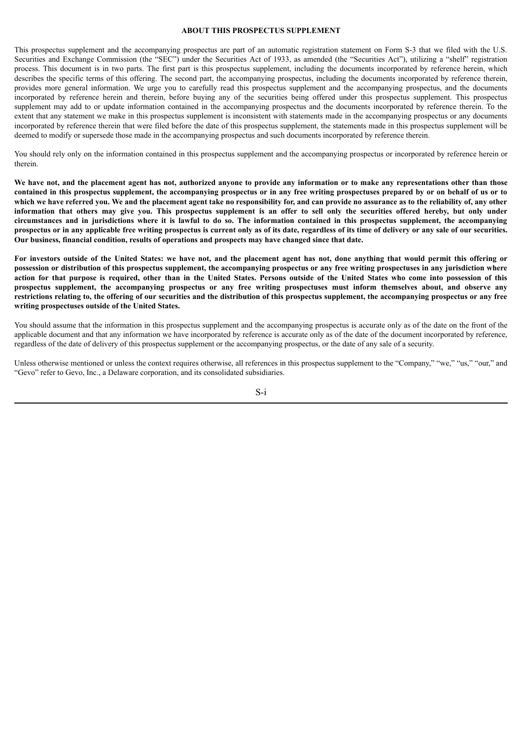#### **ABOUT THIS PROSPECTUS SUPPLEMENT**

<span id="page-3-0"></span>This prospectus supplement and the accompanying prospectus are part of an automatic registration statement on Form S-3 that we filed with the U.S. Securities and Exchange Commission (the "SEC") under the Securities Act of 1933, as amended (the "Securities Act"), utilizing a "shelf" registration process. This document is in two parts. The first part is this prospectus supplement, including the documents incorporated by reference herein, which describes the specific terms of this offering. The second part, the accompanying prospectus, including the documents incorporated by reference therein, provides more general information. We urge you to carefully read this prospectus supplement and the accompanying prospectus, and the documents incorporated by reference herein and therein, before buying any of the securities being offered under this prospectus supplement. This prospectus supplement may add to or update information contained in the accompanying prospectus and the documents incorporated by reference therein. To the extent that any statement we make in this prospectus supplement is inconsistent with statements made in the accompanying prospectus or any documents incorporated by reference therein that were filed before the date of this prospectus supplement, the statements made in this prospectus supplement will be deemed to modify or supersede those made in the accompanying prospectus and such documents incorporated by reference therein.

You should rely only on the information contained in this prospectus supplement and the accompanying prospectus or incorporated by reference herein or therein.

We have not, and the placement agent has not, authorized anyone to provide any information or to make any representations other than those contained in this prospectus supplement, the accompanying prospectus or in any free writing prospectuses prepared by or on behalf of us or to which we have referred you. We and the placement agent take no responsibility for, and can provide no assurance as to the reliability of, any other information that others may give you. This prospectus supplement is an offer to sell only the securities offered hereby, but only under circumstances and in jurisdictions where it is lawful to do so. The information contained in this prospectus supplement, the accompanying prospectus or in any applicable free writing prospectus is current only as of its date, regardless of its time of delivery or any sale of our securities. **Our business, financial condition, results of operations and prospects may have changed since that date.**

For investors outside of the United States: we have not, and the placement agent has not, done anything that would permit this offering or possession or distribution of this prospectus supplement, the accompanying prospectus or any free writing prospectuses in any jurisdiction where action for that purpose is required, other than in the United States. Persons outside of the United States who come into possession of this prospectus supplement, the accompanying prospectus or any free writing prospectuses must inform themselves about, and observe any restrictions relating to, the offering of our securities and the distribution of this prospectus supplement, the accompanying prospectus or any free **writing prospectuses outside of the United States.**

You should assume that the information in this prospectus supplement and the accompanying prospectus is accurate only as of the date on the front of the applicable document and that any information we have incorporated by reference is accurate only as of the date of the document incorporated by reference, regardless of the date of delivery of this prospectus supplement or the accompanying prospectus, or the date of any sale of a security.

Unless otherwise mentioned or unless the context requires otherwise, all references in this prospectus supplement to the "Company," "we," "us," "our," and "Gevo" refer to Gevo, Inc., a Delaware corporation, and its consolidated subsidiaries.

S-i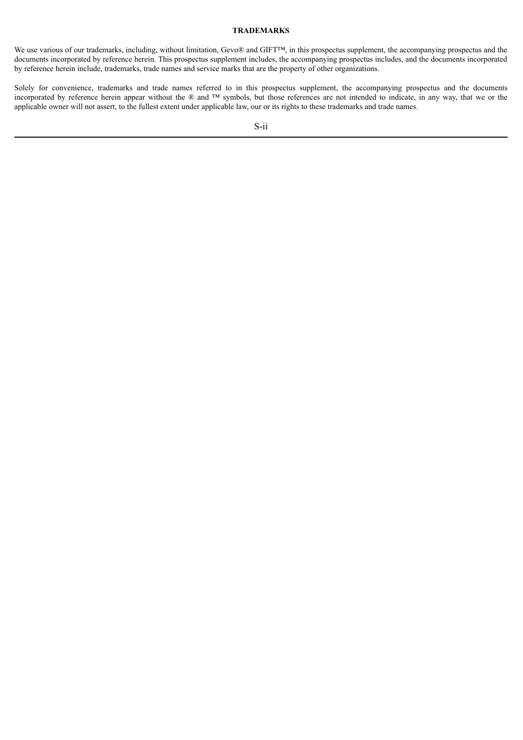#### **TRADEMARKS**

<span id="page-4-0"></span>We use various of our trademarks, including, without limitation, Gevo® and GIFT™, in this prospectus supplement, the accompanying prospectus and the documents incorporated by reference herein. This prospectus supplement includes, the accompanying prospectus includes, and the documents incorporated by reference herein include, trademarks, trade names and service marks that are the property of other organizations.

Solely for convenience, trademarks and trade names referred to in this prospectus supplement, the accompanying prospectus and the documents incorporated by reference herein appear without the ® and ™ symbols, but those references are not intended to indicate, in any way, that we or the applicable owner will not assert, to the fullest extent under applicable law, our or its rights to these trademarks and trade names.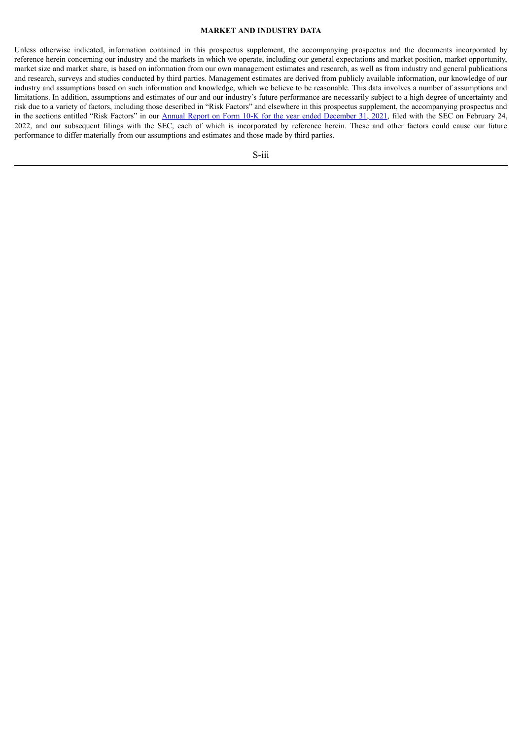#### **MARKET AND INDUSTRY DATA**

<span id="page-5-0"></span>Unless otherwise indicated, information contained in this prospectus supplement, the accompanying prospectus and the documents incorporated by reference herein concerning our industry and the markets in which we operate, including our general expectations and market position, market opportunity, market size and market share, is based on information from our own management estimates and research, as well as from industry and general publications and research, surveys and studies conducted by third parties. Management estimates are derived from publicly available information, our knowledge of our industry and assumptions based on such information and knowledge, which we believe to be reasonable. This data involves a number of assumptions and limitations. In addition, assumptions and estimates of our and our industry's future performance are necessarily subject to a high degree of uncertainty and risk due to a variety of factors, including those described in "Risk Factors" and elsewhere in this prospectus supplement, the accompanying prospectus and in the sections entitled "Risk Factors" in our Annual Report on Form 10-K for the year ended [December](http://www.sec.gov/Archives/edgar/data/1392380/000143774922004346/gevo20211231_10k.htm) 31, 2021, filed with the SEC on February 24, 2022, and our subsequent filings with the SEC, each of which is incorporated by reference herein. These and other factors could cause our future performance to differ materially from our assumptions and estimates and those made by third parties.

S-iii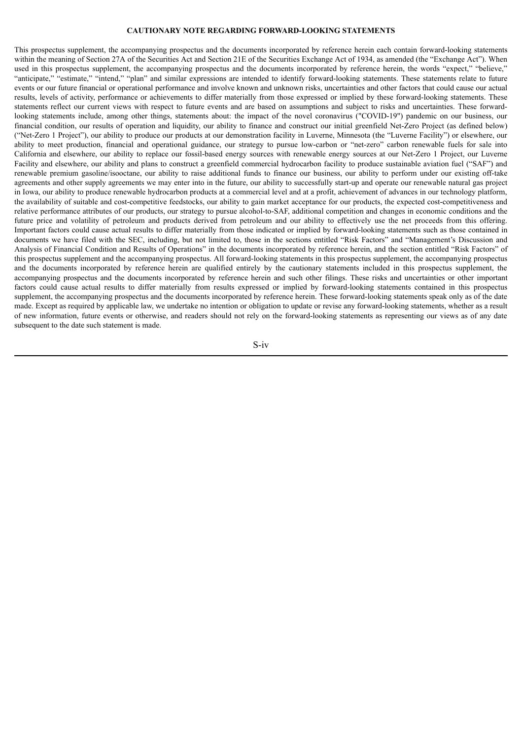# **CAUTIONARY NOTE REGARDING FORWARD-LOOKING STATEMENTS**

<span id="page-6-0"></span>This prospectus supplement, the accompanying prospectus and the documents incorporated by reference herein each contain forward-looking statements within the meaning of Section 27A of the Securities Act and Section 21E of the Securities Exchange Act of 1934, as amended (the "Exchange Act"). When used in this prospectus supplement, the accompanying prospectus and the documents incorporated by reference herein, the words "expect," "believe," "anticipate," "estimate," "intend," "plan" and similar expressions are intended to identify forward-looking statements. These statements relate to future events or our future financial or operational performance and involve known and unknown risks, uncertainties and other factors that could cause our actual results, levels of activity, performance or achievements to differ materially from those expressed or implied by these forward-looking statements. These statements reflect our current views with respect to future events and are based on assumptions and subject to risks and uncertainties. These forwardlooking statements include, among other things, statements about: the impact of the novel coronavirus ("COVID-19") pandemic on our business, our financial condition, our results of operation and liquidity, our ability to finance and construct our initial greenfield Net-Zero Project (as defined below) ("Net-Zero 1 Project"), our ability to produce our products at our demonstration facility in Luverne, Minnesota (the "Luverne Facility") or elsewhere, our ability to meet production, financial and operational guidance, our strategy to pursue low-carbon or "net-zero" carbon renewable fuels for sale into California and elsewhere, our ability to replace our fossil-based energy sources with renewable energy sources at our Net-Zero 1 Project, our Luverne Facility and elsewhere, our ability and plans to construct a greenfield commercial hydrocarbon facility to produce sustainable aviation fuel ("SAF") and renewable premium gasoline/isooctane, our ability to raise additional funds to finance our business, our ability to perform under our existing off-take agreements and other supply agreements we may enter into in the future, our ability to successfully start-up and operate our renewable natural gas project in Iowa, our ability to produce renewable hydrocarbon products at a commercial level and at a profit, achievement of advances in our technology platform, the availability of suitable and cost-competitive feedstocks, our ability to gain market acceptance for our products, the expected cost-competitiveness and relative performance attributes of our products, our strategy to pursue alcohol-to-SAF, additional competition and changes in economic conditions and the future price and volatility of petroleum and products derived from petroleum and our ability to effectively use the net proceeds from this offering. Important factors could cause actual results to differ materially from those indicated or implied by forward-looking statements such as those contained in documents we have filed with the SEC, including, but not limited to, those in the sections entitled "Risk Factors" and "Management's Discussion and Analysis of Financial Condition and Results of Operations" in the documents incorporated by reference herein, and the section entitled "Risk Factors" of this prospectus supplement and the accompanying prospectus. All forward-looking statements in this prospectus supplement, the accompanying prospectus and the documents incorporated by reference herein are qualified entirely by the cautionary statements included in this prospectus supplement, the accompanying prospectus and the documents incorporated by reference herein and such other filings. These risks and uncertainties or other important factors could cause actual results to differ materially from results expressed or implied by forward-looking statements contained in this prospectus supplement, the accompanying prospectus and the documents incorporated by reference herein. These forward-looking statements speak only as of the date made. Except as required by applicable law, we undertake no intention or obligation to update or revise any forward-looking statements, whether as a result of new information, future events or otherwise, and readers should not rely on the forward-looking statements as representing our views as of any date subsequent to the date such statement is made.

S-iv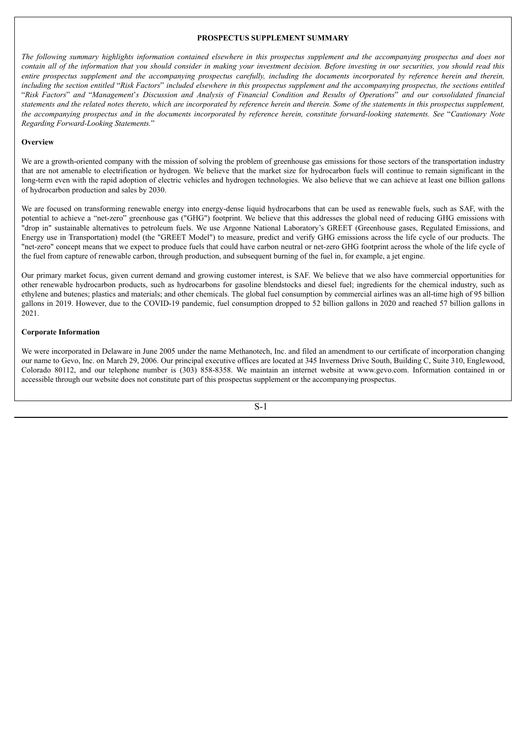## **PROSPECTUS SUPPLEMENT SUMMARY**

<span id="page-7-0"></span>The following summary highlights information contained elsewhere in this prospectus supplement and the accompanying prospectus and does not contain all of the information that you should consider in making your investment decision. Before investing in our securities, you should read this entire prospectus supplement and the accompanying prospectus carefully, including the documents incorporated by reference herein and therein, including the section entitled "Risk Factors" included elsewhere in this prospectus supplement and the accompanying prospectus, the sections entitled "Risk Factors" and "Management's Discussion and Analysis of Financial Condition and Results of Operations" and our consolidated financial statements and the related notes thereto, which are incorporated by reference herein and therein. Some of the statements in this prospectus supplement, the accompanying prospectus and in the documents incorporated by reference herein, constitute forward-looking statements. See "Cautionary Note *Regarding Forward-Looking Statements.*"

#### **Overview**

We are a growth-oriented company with the mission of solving the problem of greenhouse gas emissions for those sectors of the transportation industry that are not amenable to electrification or hydrogen. We believe that the market size for hydrocarbon fuels will continue to remain significant in the long-term even with the rapid adoption of electric vehicles and hydrogen technologies. We also believe that we can achieve at least one billion gallons of hydrocarbon production and sales by 2030.

We are focused on transforming renewable energy into energy-dense liquid hydrocarbons that can be used as renewable fuels, such as SAF, with the potential to achieve a "net-zero" greenhouse gas ("GHG") footprint. We believe that this addresses the global need of reducing GHG emissions with "drop in" sustainable alternatives to petroleum fuels. We use Argonne National Laboratory's GREET (Greenhouse gases, Regulated Emissions, and Energy use in Transportation) model (the "GREET Model") to measure, predict and verify GHG emissions across the life cycle of our products. The "net-zero" concept means that we expect to produce fuels that could have carbon neutral or net-zero GHG footprint across the whole of the life cycle of the fuel from capture of renewable carbon, through production, and subsequent burning of the fuel in, for example, a jet engine.

Our primary market focus, given current demand and growing customer interest, is SAF. We believe that we also have commercial opportunities for other renewable hydrocarbon products, such as hydrocarbons for gasoline blendstocks and diesel fuel; ingredients for the chemical industry, such as ethylene and butenes; plastics and materials; and other chemicals. The global fuel consumption by commercial airlines was an all-time high of 95 billion gallons in 2019. However, due to the COVID-19 pandemic, fuel consumption dropped to 52 billion gallons in 2020 and reached 57 billion gallons in 2021.

#### **Corporate Information**

We were incorporated in Delaware in June 2005 under the name Methanotech, Inc. and filed an amendment to our certificate of incorporation changing our name to Gevo, Inc. on March 29, 2006. Our principal executive offices are located at 345 Inverness Drive South, Building C, Suite 310, Englewood, Colorado 80112, and our telephone number is (303) 858-8358. We maintain an internet website at www.gevo.com. Information contained in or accessible through our website does not constitute part of this prospectus supplement or the accompanying prospectus.

S-1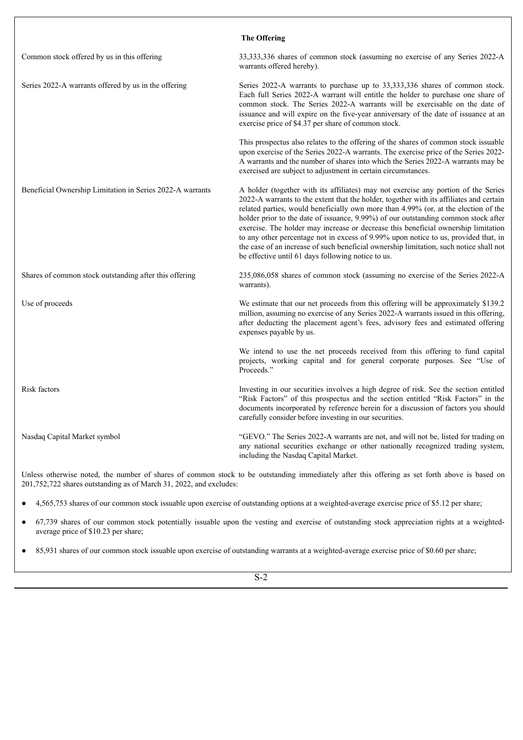|                                                           | <b>The Offering</b>                                                                                                                                                                                                                                                                                                                                                                                                                                                                                                                                                                                                                                                                     |
|-----------------------------------------------------------|-----------------------------------------------------------------------------------------------------------------------------------------------------------------------------------------------------------------------------------------------------------------------------------------------------------------------------------------------------------------------------------------------------------------------------------------------------------------------------------------------------------------------------------------------------------------------------------------------------------------------------------------------------------------------------------------|
| Common stock offered by us in this offering               | 33,333,336 shares of common stock (assuming no exercise of any Series 2022-A<br>warrants offered hereby).                                                                                                                                                                                                                                                                                                                                                                                                                                                                                                                                                                               |
| Series 2022-A warrants offered by us in the offering      | Series 2022-A warrants to purchase up to 33,333,336 shares of common stock.<br>Each full Series 2022-A warrant will entitle the holder to purchase one share of<br>common stock. The Series 2022-A warrants will be exercisable on the date of<br>issuance and will expire on the five-year anniversary of the date of issuance at an<br>exercise price of \$4.37 per share of common stock.                                                                                                                                                                                                                                                                                            |
|                                                           | This prospectus also relates to the offering of the shares of common stock issuable<br>upon exercise of the Series 2022-A warrants. The exercise price of the Series 2022-<br>A warrants and the number of shares into which the Series 2022-A warrants may be<br>exercised are subject to adjustment in certain circumstances.                                                                                                                                                                                                                                                                                                                                                         |
| Beneficial Ownership Limitation in Series 2022-A warrants | A holder (together with its affiliates) may not exercise any portion of the Series<br>2022-A warrants to the extent that the holder, together with its affiliates and certain<br>related parties, would beneficially own more than 4.99% (or, at the election of the<br>holder prior to the date of issuance, 9.99%) of our outstanding common stock after<br>exercise. The holder may increase or decrease this beneficial ownership limitation<br>to any other percentage not in excess of 9.99% upon notice to us, provided that, in<br>the case of an increase of such beneficial ownership limitation, such notice shall not<br>be effective until 61 days following notice to us. |
| Shares of common stock outstanding after this offering    | 235,086,058 shares of common stock (assuming no exercise of the Series 2022-A<br>warrants).                                                                                                                                                                                                                                                                                                                                                                                                                                                                                                                                                                                             |
| Use of proceeds                                           | We estimate that our net proceeds from this offering will be approximately \$139.2<br>million, assuming no exercise of any Series 2022-A warrants issued in this offering,<br>after deducting the placement agent's fees, advisory fees and estimated offering<br>expenses payable by us.                                                                                                                                                                                                                                                                                                                                                                                               |
|                                                           | We intend to use the net proceeds received from this offering to fund capital<br>projects, working capital and for general corporate purposes. See "Use of<br>Proceeds."                                                                                                                                                                                                                                                                                                                                                                                                                                                                                                                |
| Risk factors                                              | Investing in our securities involves a high degree of risk. See the section entitled<br>"Risk Factors" of this prospectus and the section entitled "Risk Factors" in the<br>documents incorporated by reference herein for a discussion of factors you should<br>carefully consider before investing in our securities.                                                                                                                                                                                                                                                                                                                                                                 |
| Nasdaq Capital Market symbol                              | "GEVO." The Series 2022-A warrants are not, and will not be, listed for trading on<br>any national securities exchange or other nationally recognized trading system,<br>including the Nasdaq Capital Market.                                                                                                                                                                                                                                                                                                                                                                                                                                                                           |

Unless otherwise noted, the number of shares of common stock to be outstanding immediately after this offering as set forth above is based on 201,752,722 shares outstanding as of March 31, 2022, and excludes:

● 4,565,753 shares of our common stock issuable upon exercise of outstanding options at a weighted-average exercise price of \$5.12 per share;

- 67,739 shares of our common stock potentially issuable upon the vesting and exercise of outstanding stock appreciation rights at a weightedaverage price of \$10.23 per share;
- 85,931 shares of our common stock issuable upon exercise of outstanding warrants at a weighted-average exercise price of \$0.60 per share;

 $\overline{S-2}$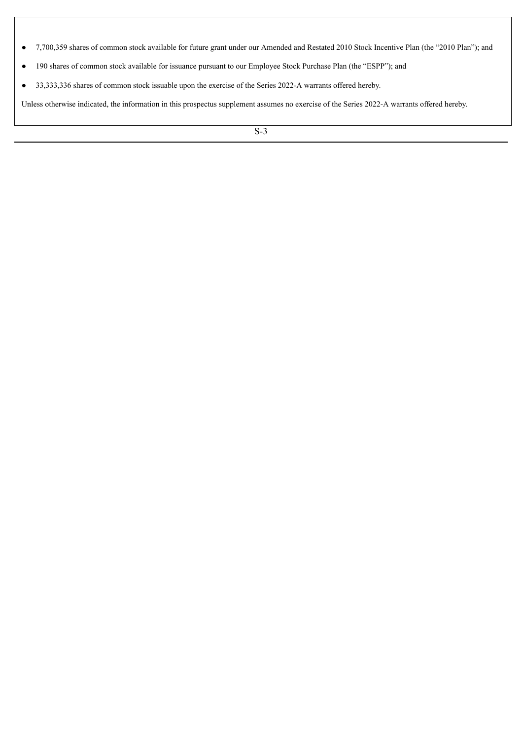- 7,700,359 shares of common stock available for future grant under our Amended and Restated 2010 Stock Incentive Plan (the "2010 Plan"); and
- 190 shares of common stock available for issuance pursuant to our Employee Stock Purchase Plan (the "ESPP"); and
- 33,333,336 shares of common stock issuable upon the exercise of the Series 2022-A warrants offered hereby.

Unless otherwise indicated, the information in this prospectus supplement assumes no exercise of the Series 2022-A warrants offered hereby.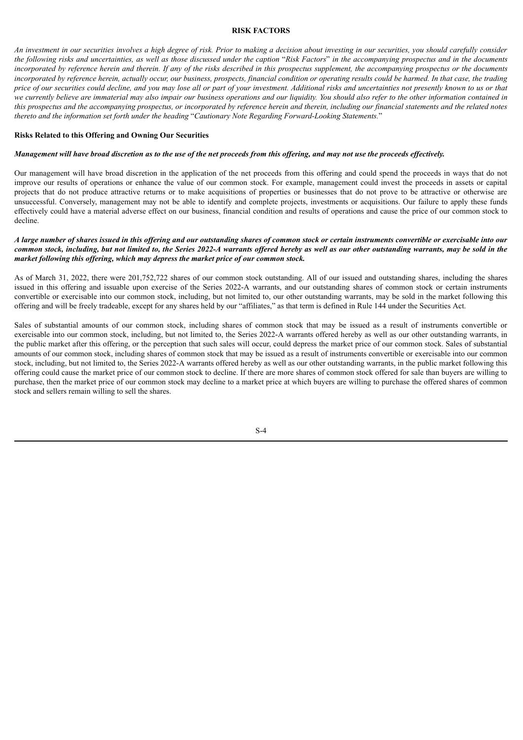#### **RISK FACTORS**

<span id="page-10-0"></span>An investment in our securities involves a high degree of risk. Prior to making a decision about investing in our securities, you should carefully consider the following risks and uncertainties, as well as those discussed under the caption "Risk Factors" in the accompanying prospectus and in the documents incorporated by reference herein and therein. If any of the risks described in this prospectus supplement, the accompanying prospectus or the documents incorporated by reference herein, actually occur, our business, prospects, financial condition or operating results could be harmed. In that case, the trading price of our securities could decline, and you may lose all or part of your investment. Additional risks and uncertainties not presently known to us or that we currently believe are immaterial may also impair our business operations and our liquidity. You should also refer to the other information contained in this prospectus and the accompanying prospectus, or incorporated by reference herein and therein, including our financial statements and the related notes *thereto and the information set forth under the heading* "*Cautionary Note Regarding Forward-Looking Statements.*"

#### **Risks Related to this Offering and Owning Our Securities**

#### Management will have broad discretion as to the use of the net proceeds from this offering, and may not use the proceeds effectively.

Our management will have broad discretion in the application of the net proceeds from this offering and could spend the proceeds in ways that do not improve our results of operations or enhance the value of our common stock. For example, management could invest the proceeds in assets or capital projects that do not produce attractive returns or to make acquisitions of properties or businesses that do not prove to be attractive or otherwise are unsuccessful. Conversely, management may not be able to identify and complete projects, investments or acquisitions. Our failure to apply these funds effectively could have a material adverse effect on our business, financial condition and results of operations and cause the price of our common stock to decline.

## A large number of shares issued in this offering and our outstanding shares of common stock or certain instruments convertible or exercisable into our common stock, including, but not limited to, the Series 2022-A warrants offered hereby as well as our other outstanding warrants, may be sold in the *market following this of ering, which may depress the market price of our common stock.*

As of March 31, 2022, there were 201,752,722 shares of our common stock outstanding. All of our issued and outstanding shares, including the shares issued in this offering and issuable upon exercise of the Series 2022-A warrants, and our outstanding shares of common stock or certain instruments convertible or exercisable into our common stock, including, but not limited to, our other outstanding warrants, may be sold in the market following this offering and will be freely tradeable, except for any shares held by our "affiliates," as that term is defined in Rule 144 under the Securities Act.

Sales of substantial amounts of our common stock, including shares of common stock that may be issued as a result of instruments convertible or exercisable into our common stock, including, but not limited to, the Series 2022-A warrants offered hereby as well as our other outstanding warrants, in the public market after this offering, or the perception that such sales will occur, could depress the market price of our common stock. Sales of substantial amounts of our common stock, including shares of common stock that may be issued as a result of instruments convertible or exercisable into our common stock, including, but not limited to, the Series 2022-A warrants offered hereby as well as our other outstanding warrants, in the public market following this offering could cause the market price of our common stock to decline. If there are more shares of common stock offered for sale than buyers are willing to purchase, then the market price of our common stock may decline to a market price at which buyers are willing to purchase the offered shares of common stock and sellers remain willing to sell the shares.

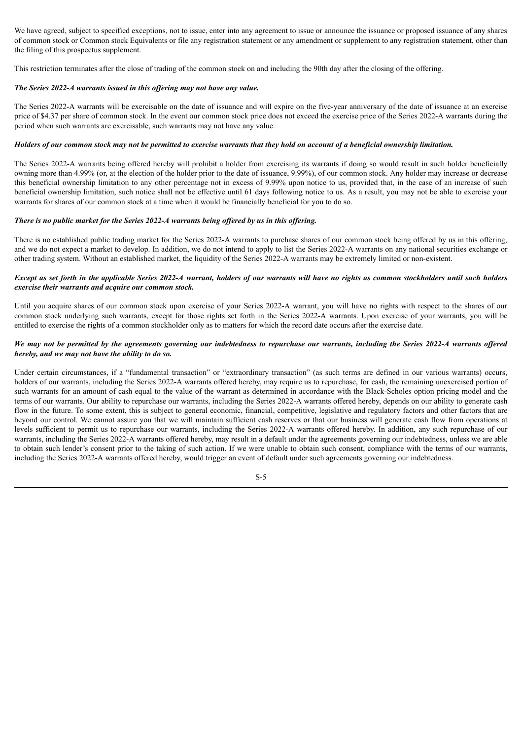We have agreed, subject to specified exceptions, not to issue, enter into any agreement to issue or announce the issuance or proposed issuance of any shares of common stock or Common stock Equivalents or file any registration statement or any amendment or supplement to any registration statement, other than the filing of this prospectus supplement.

This restriction terminates after the close of trading of the common stock on and including the 90th day after the closing of the offering.

## *The Series 2022-A warrants issued in this of ering may not have any value.*

The Series 2022-A warrants will be exercisable on the date of issuance and will expire on the five-year anniversary of the date of issuance at an exercise price of \$4.37 per share of common stock. In the event our common stock price does not exceed the exercise price of the Series 2022-A warrants during the period when such warrants are exercisable, such warrants may not have any value.

#### Holders of our common stock may not be permitted to exercise warrants that they hold on account of a beneficial ownership limitation.

The Series 2022-A warrants being offered hereby will prohibit a holder from exercising its warrants if doing so would result in such holder beneficially owning more than 4.99% (or, at the election of the holder prior to the date of issuance, 9.99%), of our common stock. Any holder may increase or decrease this beneficial ownership limitation to any other percentage not in excess of 9.99% upon notice to us, provided that, in the case of an increase of such beneficial ownership limitation, such notice shall not be effective until 61 days following notice to us. As a result, you may not be able to exercise your warrants for shares of our common stock at a time when it would be financially beneficial for you to do so.

#### There is no public market for the Series 2022-A warrants being offered by us in this offering.

There is no established public trading market for the Series 2022-A warrants to purchase shares of our common stock being offered by us in this offering, and we do not expect a market to develop. In addition, we do not intend to apply to list the Series 2022-A warrants on any national securities exchange or other trading system. Without an established market, the liquidity of the Series 2022-A warrants may be extremely limited or non-existent.

# Except as set forth in the applicable Series 2022-A warrant, holders of our warrants will have no rights as common stockholders until such holders *exercise their warrants and acquire our common stock.*

Until you acquire shares of our common stock upon exercise of your Series 2022-A warrant, you will have no rights with respect to the shares of our common stock underlying such warrants, except for those rights set forth in the Series 2022-A warrants. Upon exercise of your warrants, you will be entitled to exercise the rights of a common stockholder only as to matters for which the record date occurs after the exercise date.

# We may not be permitted by the agreements governing our indebtedness to repurchase our warrants, including the Series 2022-A warrants offered *hereby, and we may not have the ability to do so.*

Under certain circumstances, if a "fundamental transaction" or "extraordinary transaction" (as such terms are defined in our various warrants) occurs, holders of our warrants, including the Series 2022-A warrants offered hereby, may require us to repurchase, for cash, the remaining unexercised portion of such warrants for an amount of cash equal to the value of the warrant as determined in accordance with the Black-Scholes option pricing model and the terms of our warrants. Our ability to repurchase our warrants, including the Series 2022-A warrants offered hereby, depends on our ability to generate cash flow in the future. To some extent, this is subject to general economic, financial, competitive, legislative and regulatory factors and other factors that are beyond our control. We cannot assure you that we will maintain sufficient cash reserves or that our business will generate cash flow from operations at levels sufficient to permit us to repurchase our warrants, including the Series 2022-A warrants offered hereby. In addition, any such repurchase of our warrants, including the Series 2022-A warrants offered hereby, may result in a default under the agreements governing our indebtedness, unless we are able to obtain such lender's consent prior to the taking of such action. If we were unable to obtain such consent, compliance with the terms of our warrants, including the Series 2022-A warrants offered hereby, would trigger an event of default under such agreements governing our indebtedness.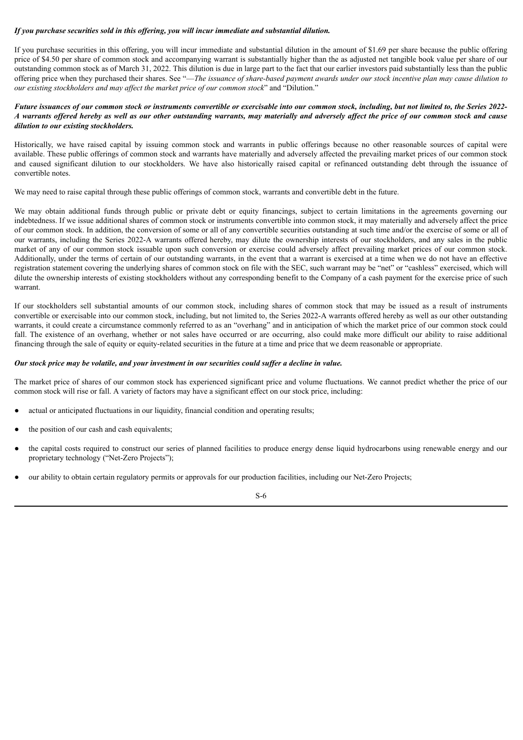# *If you purchase securities sold in this of ering, you will incur immediate and substantial dilution.*

If you purchase securities in this offering, you will incur immediate and substantial dilution in the amount of \$1.69 per share because the public offering price of \$4.50 per share of common stock and accompanying warrant is substantially higher than the as adjusted net tangible book value per share of our outstanding common stock as of March 31, 2022. This dilution is due in large part to the fact that our earlier investors paid substantially less than the public offering price when they purchased their shares. See "-The issuance of share-based payment awards under our stock incentive plan may cause dilution to *our existing stockholders and may af ect the market price of our common stock*" and "Dilution."

# Future issuances of our common stock or instruments convertible or exercisable into our common stock, including, but not limited to, the Series 2022-A warrants offered hereby as well as our other outstanding warrants, may materially and adversely affect the price of our common stock and cause *dilution to our existing stockholders.*

Historically, we have raised capital by issuing common stock and warrants in public offerings because no other reasonable sources of capital were available. These public offerings of common stock and warrants have materially and adversely affected the prevailing market prices of our common stock and caused significant dilution to our stockholders. We have also historically raised capital or refinanced outstanding debt through the issuance of convertible notes.

We may need to raise capital through these public offerings of common stock, warrants and convertible debt in the future.

We may obtain additional funds through public or private debt or equity financings, subject to certain limitations in the agreements governing our indebtedness. If we issue additional shares of common stock or instruments convertible into common stock, it may materially and adversely affect the price of our common stock. In addition, the conversion of some or all of any convertible securities outstanding at such time and/or the exercise of some or all of our warrants, including the Series 2022-A warrants offered hereby, may dilute the ownership interests of our stockholders, and any sales in the public market of any of our common stock issuable upon such conversion or exercise could adversely affect prevailing market prices of our common stock. Additionally, under the terms of certain of our outstanding warrants, in the event that a warrant is exercised at a time when we do not have an effective registration statement covering the underlying shares of common stock on file with the SEC, such warrant may be "net" or "cashless" exercised, which will dilute the ownership interests of existing stockholders without any corresponding benefit to the Company of a cash payment for the exercise price of such warrant.

If our stockholders sell substantial amounts of our common stock, including shares of common stock that may be issued as a result of instruments convertible or exercisable into our common stock, including, but not limited to, the Series 2022-A warrants offered hereby as well as our other outstanding warrants, it could create a circumstance commonly referred to as an "overhang" and in anticipation of which the market price of our common stock could fall. The existence of an overhang, whether or not sales have occurred or are occurring, also could make more difficult our ability to raise additional financing through the sale of equity or equity-related securities in the future at a time and price that we deem reasonable or appropriate.

#### Our stock price may be volatile, and your investment in our securities could suffer a decline in value.

The market price of shares of our common stock has experienced significant price and volume fluctuations. We cannot predict whether the price of our common stock will rise or fall. A variety of factors may have a significant effect on our stock price, including:

- actual or anticipated fluctuations in our liquidity, financial condition and operating results;
- the position of our cash and cash equivalents;
- the capital costs required to construct our series of planned facilities to produce energy dense liquid hydrocarbons using renewable energy and our proprietary technology ("Net-Zero Projects");
- our ability to obtain certain regulatory permits or approvals for our production facilities, including our Net-Zero Projects;

S-6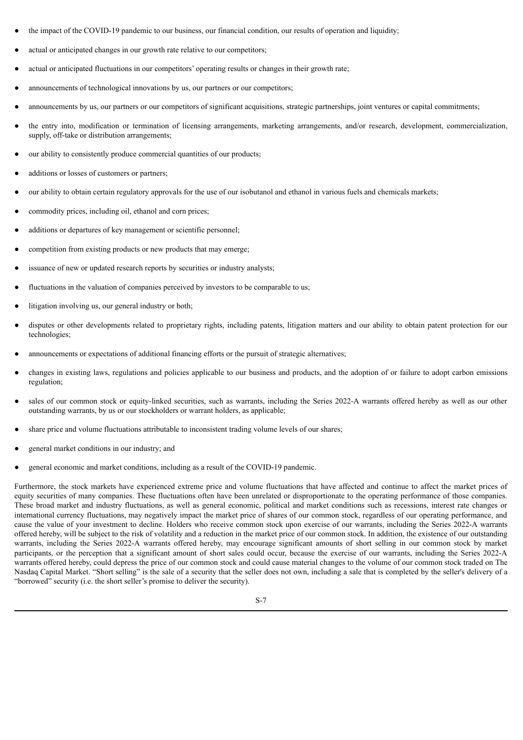- the impact of the COVID-19 pandemic to our business, our financial condition, our results of operation and liquidity;
- actual or anticipated changes in our growth rate relative to our competitors;
- actual or anticipated fluctuations in our competitors' operating results or changes in their growth rate;
- announcements of technological innovations by us, our partners or our competitors;
- announcements by us, our partners or our competitors of significant acquisitions, strategic partnerships, joint ventures or capital commitments;
- the entry into, modification or termination of licensing arrangements, marketing arrangements, and/or research, development, commercialization, supply, off-take or distribution arrangements;
- our ability to consistently produce commercial quantities of our products;
- additions or losses of customers or partners;
- our ability to obtain certain regulatory approvals for the use of our isobutanol and ethanol in various fuels and chemicals markets;
- commodity prices, including oil, ethanol and corn prices;
- additions or departures of key management or scientific personnel:
- competition from existing products or new products that may emerge;
- issuance of new or updated research reports by securities or industry analysts;
- fluctuations in the valuation of companies perceived by investors to be comparable to us;
- litigation involving us, our general industry or both;
- disputes or other developments related to proprietary rights, including patents, litigation matters and our ability to obtain patent protection for our technologies;
- announcements or expectations of additional financing efforts or the pursuit of strategic alternatives;
- changes in existing laws, regulations and policies applicable to our business and products, and the adoption of or failure to adopt carbon emissions regulation;
- sales of our common stock or equity-linked securities, such as warrants, including the Series 2022-A warrants offered hereby as well as our other outstanding warrants, by us or our stockholders or warrant holders, as applicable;
- share price and volume fluctuations attributable to inconsistent trading volume levels of our shares;
- general market conditions in our industry; and
- general economic and market conditions, including as a result of the COVID-19 pandemic.

Furthermore, the stock markets have experienced extreme price and volume fluctuations that have affected and continue to affect the market prices of equity securities of many companies. These fluctuations often have been unrelated or disproportionate to the operating performance of those companies. These broad market and industry fluctuations, as well as general economic, political and market conditions such as recessions, interest rate changes or international currency fluctuations, may negatively impact the market price of shares of our common stock, regardless of our operating performance, and cause the value of your investment to decline. Holders who receive common stock upon exercise of our warrants, including the Series 2022-A warrants offered hereby, will be subject to the risk of volatility and a reduction in the market price of our common stock. In addition, the existence of our outstanding warrants, including the Series 2022-A warrants offered hereby, may encourage significant amounts of short selling in our common stock by market participants, or the perception that a significant amount of short sales could occur, because the exercise of our warrants, including the Series 2022-A warrants offered hereby, could depress the price of our common stock and could cause material changes to the volume of our common stock traded on The Nasdaq Capital Market. "Short selling" is the sale of a security that the seller does not own, including a sale that is completed by the seller's delivery of a "borrowed" security (i.e. the short seller's promise to deliver the security).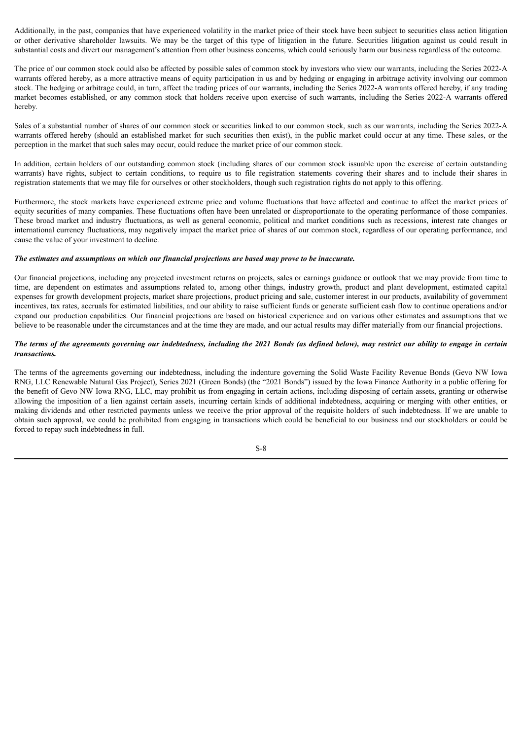Additionally, in the past, companies that have experienced volatility in the market price of their stock have been subject to securities class action litigation or other derivative shareholder lawsuits. We may be the target of this type of litigation in the future. Securities litigation against us could result in substantial costs and divert our management's attention from other business concerns, which could seriously harm our business regardless of the outcome.

The price of our common stock could also be affected by possible sales of common stock by investors who view our warrants, including the Series 2022-A warrants offered hereby, as a more attractive means of equity participation in us and by hedging or engaging in arbitrage activity involving our common stock. The hedging or arbitrage could, in turn, affect the trading prices of our warrants, including the Series 2022-A warrants offered hereby, if any trading market becomes established, or any common stock that holders receive upon exercise of such warrants, including the Series 2022-A warrants offered hereby.

Sales of a substantial number of shares of our common stock or securities linked to our common stock, such as our warrants, including the Series 2022-A warrants offered hereby (should an established market for such securities then exist), in the public market could occur at any time. These sales, or the perception in the market that such sales may occur, could reduce the market price of our common stock.

In addition, certain holders of our outstanding common stock (including shares of our common stock issuable upon the exercise of certain outstanding warrants) have rights, subject to certain conditions, to require us to file registration statements covering their shares and to include their shares in registration statements that we may file for ourselves or other stockholders, though such registration rights do not apply to this offering.

Furthermore, the stock markets have experienced extreme price and volume fluctuations that have affected and continue to affect the market prices of equity securities of many companies. These fluctuations often have been unrelated or disproportionate to the operating performance of those companies. These broad market and industry fluctuations, as well as general economic, political and market conditions such as recessions, interest rate changes or international currency fluctuations, may negatively impact the market price of shares of our common stock, regardless of our operating performance, and cause the value of your investment to decline.

#### *The estimates and assumptions on which our financial projections are based may prove to be inaccurate.*

Our financial projections, including any projected investment returns on projects, sales or earnings guidance or outlook that we may provide from time to time, are dependent on estimates and assumptions related to, among other things, industry growth, product and plant development, estimated capital expenses for growth development projects, market share projections, product pricing and sale, customer interest in our products, availability of government incentives, tax rates, accruals for estimated liabilities, and our ability to raise sufficient funds or generate sufficient cash flow to continue operations and/or expand our production capabilities. Our financial projections are based on historical experience and on various other estimates and assumptions that we believe to be reasonable under the circumstances and at the time they are made, and our actual results may differ materially from our financial projections.

# The terms of the agreements governing our indebtedness, including the 2021 Bonds (as defined below), may restrict our ability to engage in certain *transactions.*

The terms of the agreements governing our indebtedness, including the indenture governing the Solid Waste Facility Revenue Bonds (Gevo NW Iowa RNG, LLC Renewable Natural Gas Project), Series 2021 (Green Bonds) (the "2021 Bonds") issued by the Iowa Finance Authority in a public offering for the benefit of Gevo NW Iowa RNG, LLC, may prohibit us from engaging in certain actions, including disposing of certain assets, granting or otherwise allowing the imposition of a lien against certain assets, incurring certain kinds of additional indebtedness, acquiring or merging with other entities, or making dividends and other restricted payments unless we receive the prior approval of the requisite holders of such indebtedness. If we are unable to obtain such approval, we could be prohibited from engaging in transactions which could be beneficial to our business and our stockholders or could be forced to repay such indebtedness in full.

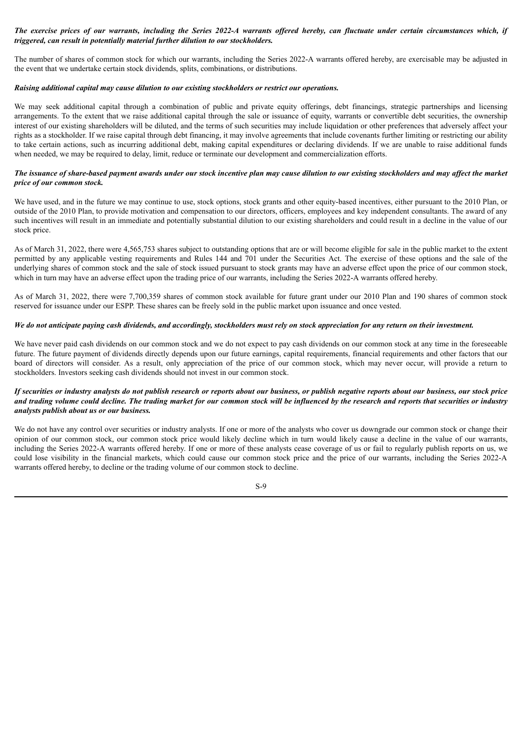# The exercise prices of our warrants, including the Series 2022-A warrants offered hereby, can fluctuate under certain circumstances which, if *triggered, can result in potentially material further dilution to our stockholders.*

The number of shares of common stock for which our warrants, including the Series 2022-A warrants offered hereby, are exercisable may be adjusted in the event that we undertake certain stock dividends, splits, combinations, or distributions.

# *Raising additional capital may cause dilution to our existing stockholders or restrict our operations.*

We may seek additional capital through a combination of public and private equity offerings, debt financings, strategic partnerships and licensing arrangements. To the extent that we raise additional capital through the sale or issuance of equity, warrants or convertible debt securities, the ownership interest of our existing shareholders will be diluted, and the terms of such securities may include liquidation or other preferences that adversely affect your rights as a stockholder. If we raise capital through debt financing, it may involve agreements that include covenants further limiting or restricting our ability to take certain actions, such as incurring additional debt, making capital expenditures or declaring dividends. If we are unable to raise additional funds when needed, we may be required to delay, limit, reduce or terminate our development and commercialization efforts.

#### The issuance of share-based payment awards under our stock incentive plan may cause dilution to our existing stockholders and may affect the market *price of our common stock.*

We have used, and in the future we may continue to use, stock options, stock grants and other equity-based incentives, either pursuant to the 2010 Plan, or outside of the 2010 Plan, to provide motivation and compensation to our directors, officers, employees and key independent consultants. The award of any such incentives will result in an immediate and potentially substantial dilution to our existing shareholders and could result in a decline in the value of our stock price.

As of March 31, 2022, there were 4,565,753 shares subject to outstanding options that are or will become eligible for sale in the public market to the extent permitted by any applicable vesting requirements and Rules 144 and 701 under the Securities Act. The exercise of these options and the sale of the underlying shares of common stock and the sale of stock issued pursuant to stock grants may have an adverse effect upon the price of our common stock, which in turn may have an adverse effect upon the trading price of our warrants, including the Series 2022-A warrants offered hereby.

As of March 31, 2022, there were 7,700,359 shares of common stock available for future grant under our 2010 Plan and 190 shares of common stock reserved for issuance under our ESPP. These shares can be freely sold in the public market upon issuance and once vested.

#### We do not anticipate paying cash dividends, and accordingly, stockholders must rely on stock appreciation for any return on their investment.

We have never paid cash dividends on our common stock and we do not expect to pay cash dividends on our common stock at any time in the foreseeable future. The future payment of dividends directly depends upon our future earnings, capital requirements, financial requirements and other factors that our board of directors will consider. As a result, only appreciation of the price of our common stock, which may never occur, will provide a return to stockholders. Investors seeking cash dividends should not invest in our common stock.

# If securities or industry analysts do not publish research or reports about our business, or publish negative reports about our business, our stock price and trading volume could decline. The trading market for our common stock will be influenced by the research and reports that securities or industry *analysts publish about us or our business.*

We do not have any control over securities or industry analysts. If one or more of the analysts who cover us downgrade our common stock or change their opinion of our common stock, our common stock price would likely decline which in turn would likely cause a decline in the value of our warrants, including the Series 2022-A warrants offered hereby. If one or more of these analysts cease coverage of us or fail to regularly publish reports on us, we could lose visibility in the financial markets, which could cause our common stock price and the price of our warrants, including the Series 2022-A warrants offered hereby, to decline or the trading volume of our common stock to decline.

#### S-9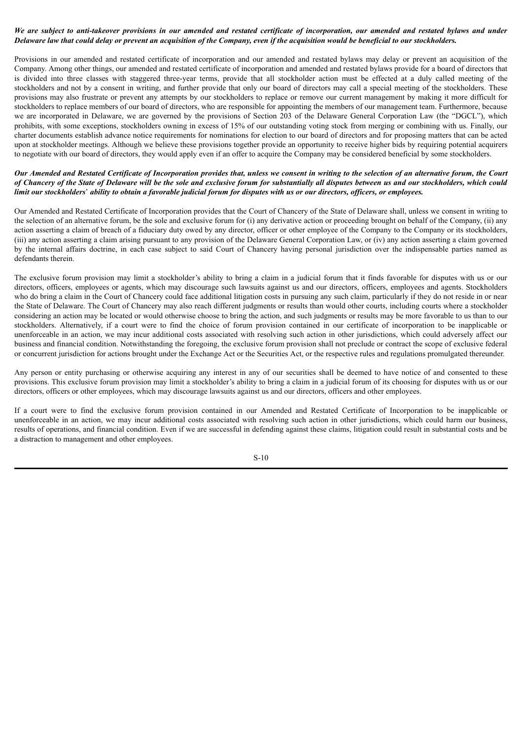# We are subject to anti-takeover provisions in our amended and restated certificate of incorporation, our amended and restated bylaws and under Delaware law that could delay or prevent an acquisition of the Company, even if the acquisition would be beneficial to our stockholders.

Provisions in our amended and restated certificate of incorporation and our amended and restated bylaws may delay or prevent an acquisition of the Company. Among other things, our amended and restated certificate of incorporation and amended and restated bylaws provide for a board of directors that is divided into three classes with staggered three-year terms, provide that all stockholder action must be effected at a duly called meeting of the stockholders and not by a consent in writing, and further provide that only our board of directors may call a special meeting of the stockholders. These provisions may also frustrate or prevent any attempts by our stockholders to replace or remove our current management by making it more difficult for stockholders to replace members of our board of directors, who are responsible for appointing the members of our management team. Furthermore, because we are incorporated in Delaware, we are governed by the provisions of Section 203 of the Delaware General Corporation Law (the "DGCL"), which prohibits, with some exceptions, stockholders owning in excess of 15% of our outstanding voting stock from merging or combining with us. Finally, our charter documents establish advance notice requirements for nominations for election to our board of directors and for proposing matters that can be acted upon at stockholder meetings. Although we believe these provisions together provide an opportunity to receive higher bids by requiring potential acquirers to negotiate with our board of directors, they would apply even if an offer to acquire the Company may be considered beneficial by some stockholders.

# Our Amended and Restated Certificate of Incorporation provides that, unless we consent in writing to the selection of an alternative forum, the Court of Chancery of the State of Delaware will be the sole and exclusive forum for substantially all disputes between us and our stockholders, which could limit our stockholders' ability to obtain a favorable judicial forum for disputes with us or our directors, officers, or employees.

Our Amended and Restated Certificate of Incorporation provides that the Court of Chancery of the State of Delaware shall, unless we consent in writing to the selection of an alternative forum, be the sole and exclusive forum for (i) any derivative action or proceeding brought on behalf of the Company, (ii) any action asserting a claim of breach of a fiduciary duty owed by any director, officer or other employee of the Company to the Company or its stockholders, (iii) any action asserting a claim arising pursuant to any provision of the Delaware General Corporation Law, or (iv) any action asserting a claim governed by the internal affairs doctrine, in each case subject to said Court of Chancery having personal jurisdiction over the indispensable parties named as defendants therein.

The exclusive forum provision may limit a stockholder's ability to bring a claim in a judicial forum that it finds favorable for disputes with us or our directors, officers, employees or agents, which may discourage such lawsuits against us and our directors, officers, employees and agents. Stockholders who do bring a claim in the Court of Chancery could face additional litigation costs in pursuing any such claim, particularly if they do not reside in or near the State of Delaware. The Court of Chancery may also reach different judgments or results than would other courts, including courts where a stockholder considering an action may be located or would otherwise choose to bring the action, and such judgments or results may be more favorable to us than to our stockholders. Alternatively, if a court were to find the choice of forum provision contained in our certificate of incorporation to be inapplicable or unenforceable in an action, we may incur additional costs associated with resolving such action in other jurisdictions, which could adversely affect our business and financial condition. Notwithstanding the foregoing, the exclusive forum provision shall not preclude or contract the scope of exclusive federal or concurrent jurisdiction for actions brought under the Exchange Act or the Securities Act, or the respective rules and regulations promulgated thereunder.

Any person or entity purchasing or otherwise acquiring any interest in any of our securities shall be deemed to have notice of and consented to these provisions. This exclusive forum provision may limit a stockholder's ability to bring a claim in a judicial forum of its choosing for disputes with us or our directors, officers or other employees, which may discourage lawsuits against us and our directors, officers and other employees.

If a court were to find the exclusive forum provision contained in our Amended and Restated Certificate of Incorporation to be inapplicable or unenforceable in an action, we may incur additional costs associated with resolving such action in other jurisdictions, which could harm our business, results of operations, and financial condition. Even if we are successful in defending against these claims, litigation could result in substantial costs and be a distraction to management and other employees.

S-10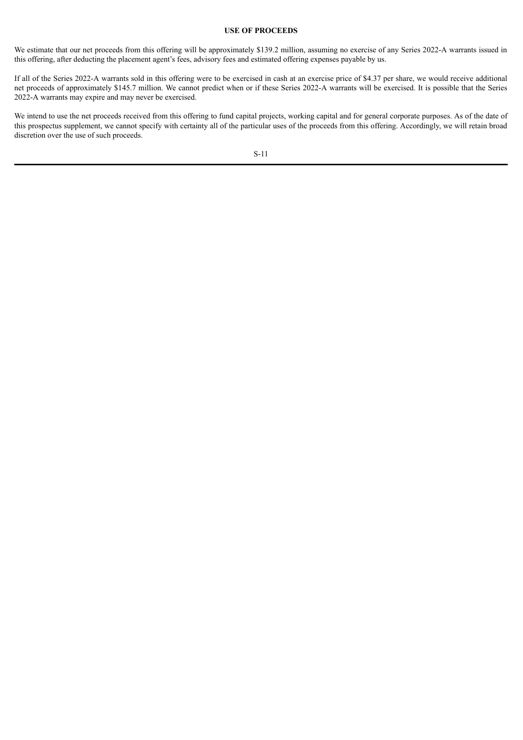# **USE OF PROCEEDS**

<span id="page-17-0"></span>We estimate that our net proceeds from this offering will be approximately \$139.2 million, assuming no exercise of any Series 2022-A warrants issued in this offering, after deducting the placement agent's fees, advisory fees and estimated offering expenses payable by us.

If all of the Series 2022-A warrants sold in this offering were to be exercised in cash at an exercise price of \$4.37 per share, we would receive additional net proceeds of approximately \$145.7 million. We cannot predict when or if these Series 2022-A warrants will be exercised. It is possible that the Series 2022-A warrants may expire and may never be exercised.

We intend to use the net proceeds received from this offering to fund capital projects, working capital and for general corporate purposes. As of the date of this prospectus supplement, we cannot specify with certainty all of the particular uses of the proceeds from this offering. Accordingly, we will retain broad discretion over the use of such proceeds.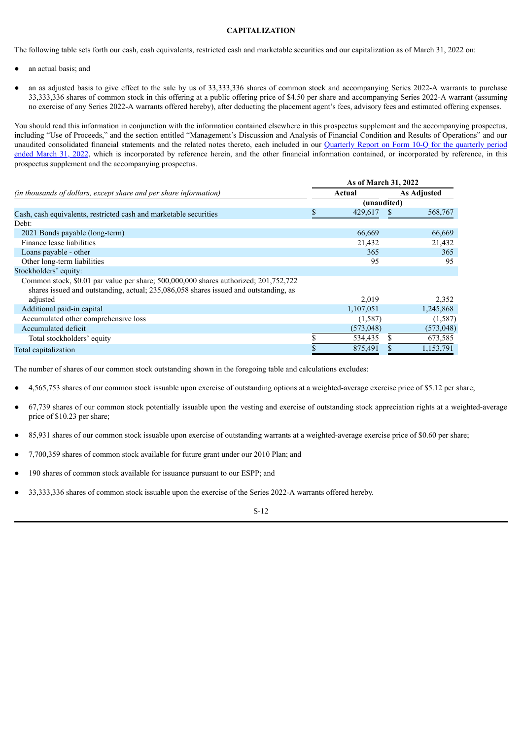# **CAPITALIZATION**

<span id="page-18-0"></span>The following table sets forth our cash, cash equivalents, restricted cash and marketable securities and our capitalization as of March 31, 2022 on:

- an actual basis; and
- an as adjusted basis to give effect to the sale by us of 33,333,336 shares of common stock and accompanying Series 2022-A warrants to purchase 33,333,336 shares of common stock in this offering at a public offering price of \$4.50 per share and accompanying Series 2022-A warrant (assuming no exercise of any Series 2022-A warrants offered hereby), after deducting the placement agent's fees, advisory fees and estimated offering expenses.

You should read this information in conjunction with the information contained elsewhere in this prospectus supplement and the accompanying prospectus, including "Use of Proceeds," and the section entitled "Management's Discussion and Analysis of Financial Condition and Results of Operations" and our unaudited [consolidated](http://www.sec.gov/Archives/edgar/data/1392380/000162828022013324/gevo-20220331.htm) financial statements and the related notes thereto, each included in our Quarterly Report on Form 10-Q for the quarterly period ended March 31, 2022, which is incorporated by reference herein, and the other financial information contained, or incorporated by reference, in this prospectus supplement and the accompanying prospectus.

|                                                                                                                                                                              | As of March 31, 2022 |            |                    |            |  |  |
|------------------------------------------------------------------------------------------------------------------------------------------------------------------------------|----------------------|------------|--------------------|------------|--|--|
| (in thousands of dollars, except share and per share information)                                                                                                            |                      | Actual     | <b>As Adjusted</b> |            |  |  |
|                                                                                                                                                                              | (unaudited)          |            |                    |            |  |  |
| Cash, cash equivalents, restricted cash and marketable securities                                                                                                            |                      | 429,617    |                    | 568,767    |  |  |
| Debt:                                                                                                                                                                        |                      |            |                    |            |  |  |
| 2021 Bonds payable (long-term)                                                                                                                                               |                      | 66,669     |                    | 66,669     |  |  |
| Finance lease liabilities                                                                                                                                                    |                      | 21,432     |                    | 21,432     |  |  |
| Loans payable - other                                                                                                                                                        |                      | 365        |                    | 365        |  |  |
| Other long-term liabilities                                                                                                                                                  |                      | 95         |                    | 95         |  |  |
| Stockholders' equity:                                                                                                                                                        |                      |            |                    |            |  |  |
| Common stock, \$0.01 par value per share; 500,000,000 shares authorized; 201,752,722<br>shares issued and outstanding, actual; 235,086,058 shares issued and outstanding, as |                      |            |                    |            |  |  |
| adjusted                                                                                                                                                                     |                      | 2,019      |                    | 2,352      |  |  |
| Additional paid-in capital                                                                                                                                                   |                      | 1,107,051  |                    | 1,245,868  |  |  |
| Accumulated other comprehensive loss                                                                                                                                         |                      | (1,587)    |                    | (1,587)    |  |  |
| Accumulated deficit                                                                                                                                                          |                      | (573, 048) |                    | (573, 048) |  |  |
| Total stockholders' equity                                                                                                                                                   |                      | 534,435    | S                  | 673,585    |  |  |
| Total capitalization                                                                                                                                                         |                      | 875,491    |                    | 1,153,791  |  |  |

The number of shares of our common stock outstanding shown in the foregoing table and calculations excludes:

- 4,565,753 shares of our common stock issuable upon exercise of outstanding options at a weighted-average exercise price of \$5.12 per share;
- 67,739 shares of our common stock potentially issuable upon the vesting and exercise of outstanding stock appreciation rights at a weighted-average price of \$10.23 per share;
- 85,931 shares of our common stock issuable upon exercise of outstanding warrants at a weighted-average exercise price of \$0.60 per share;
- 7,700,359 shares of common stock available for future grant under our 2010 Plan; and
- 190 shares of common stock available for issuance pursuant to our ESPP; and
- 33,333,336 shares of common stock issuable upon the exercise of the Series 2022-A warrants offered hereby.

$$
S-12
$$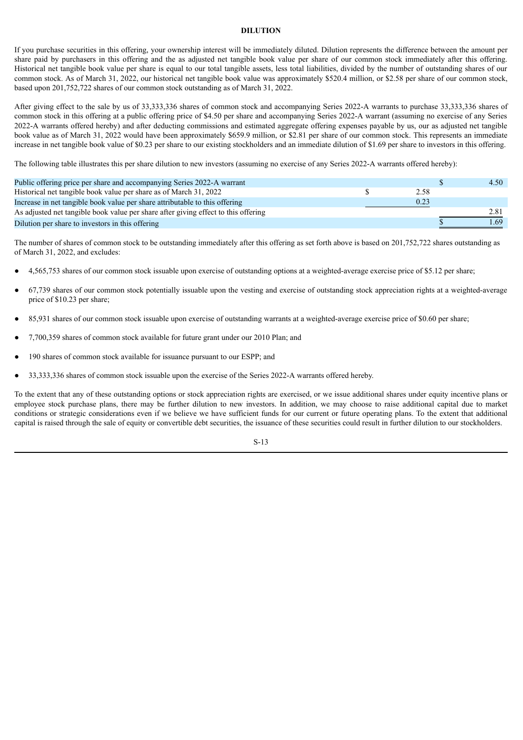# **DILUTION**

<span id="page-19-0"></span>If you purchase securities in this offering, your ownership interest will be immediately diluted. Dilution represents the difference between the amount per share paid by purchasers in this offering and the as adjusted net tangible book value per share of our common stock immediately after this offering. Historical net tangible book value per share is equal to our total tangible assets, less total liabilities, divided by the number of outstanding shares of our common stock. As of March 31, 2022, our historical net tangible book value was approximately \$520.4 million, or \$2.58 per share of our common stock, based upon 201,752,722 shares of our common stock outstanding as of March 31, 2022.

After giving effect to the sale by us of 33,333,336 shares of common stock and accompanying Series 2022-A warrants to purchase 33,333,336 shares of common stock in this offering at a public offering price of \$4.50 per share and accompanying Series 2022-A warrant (assuming no exercise of any Series 2022-A warrants offered hereby) and after deducting commissions and estimated aggregate offering expenses payable by us, our as adjusted net tangible book value as of March 31, 2022 would have been approximately \$659.9 million, or \$2.81 per share of our common stock. This represents an immediate increase in net tangible book value of \$0.23 per share to our existing stockholders and an immediate dilution of \$1.69 per share to investors in this offering.

The following table illustrates this per share dilution to new investors (assuming no exercise of any Series 2022-A warrants offered hereby):

| Public offering price per share and accompanying Series 2022-A warrant             |      | 4.50 |
|------------------------------------------------------------------------------------|------|------|
| Historical net tangible book value per share as of March 31, 2022                  | 2.58 |      |
| Increase in net tangible book value per share attributable to this offering        | 0.23 |      |
| As adjusted net tangible book value per share after giving effect to this offering |      | 2.81 |
| Dilution per share to investors in this offering                                   |      | . 69 |

The number of shares of common stock to be outstanding immediately after this offering as set forth above is based on 201,752,722 shares outstanding as of March 31, 2022, and excludes:

- 4,565,753 shares of our common stock issuable upon exercise of outstanding options at a weighted-average exercise price of \$5.12 per share;
- 67,739 shares of our common stock potentially issuable upon the vesting and exercise of outstanding stock appreciation rights at a weighted-average price of \$10.23 per share;
- 85,931 shares of our common stock issuable upon exercise of outstanding warrants at a weighted-average exercise price of \$0.60 per share;
- 7,700,359 shares of common stock available for future grant under our 2010 Plan; and
- 190 shares of common stock available for issuance pursuant to our ESPP; and
- 33,333,336 shares of common stock issuable upon the exercise of the Series 2022-A warrants offered hereby.

To the extent that any of these outstanding options or stock appreciation rights are exercised, or we issue additional shares under equity incentive plans or employee stock purchase plans, there may be further dilution to new investors. In addition, we may choose to raise additional capital due to market conditions or strategic considerations even if we believe we have sufficient funds for our current or future operating plans. To the extent that additional capital is raised through the sale of equity or convertible debt securities, the issuance of these securities could result in further dilution to our stockholders.

S-13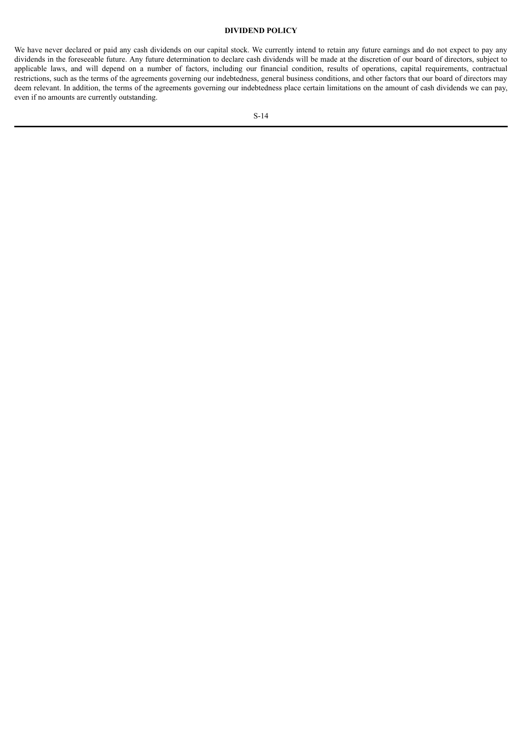# **DIVIDEND POLICY**

<span id="page-20-0"></span>We have never declared or paid any cash dividends on our capital stock. We currently intend to retain any future earnings and do not expect to pay any dividends in the foreseeable future. Any future determination to declare cash dividends will be made at the discretion of our board of directors, subject to applicable laws, and will depend on a number of factors, including our financial condition, results of operations, capital requirements, contractual restrictions, such as the terms of the agreements governing our indebtedness, general business conditions, and other factors that our board of directors may deem relevant. In addition, the terms of the agreements governing our indebtedness place certain limitations on the amount of cash dividends we can pay, even if no amounts are currently outstanding.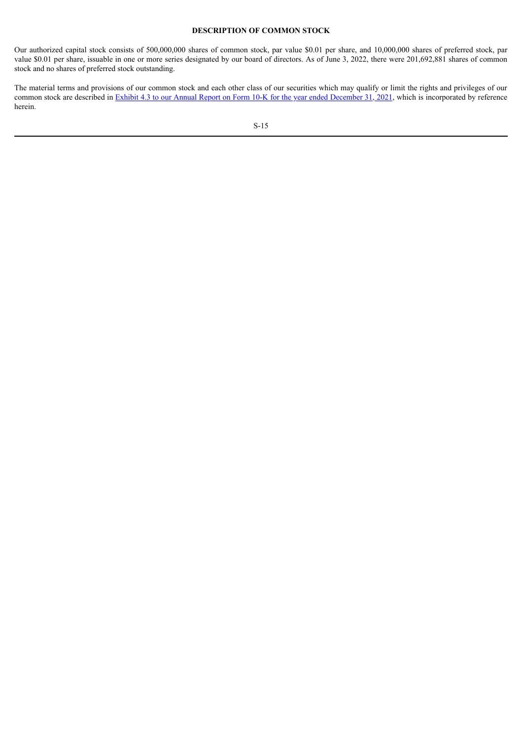# **DESCRIPTION OF COMMON STOCK**

<span id="page-21-0"></span>Our authorized capital stock consists of 500,000,000 shares of common stock, par value \$0.01 per share, and 10,000,000 shares of preferred stock, par value \$0.01 per share, issuable in one or more series designated by our board of directors. As of June 3, 2022, there were 201,692,881 shares of common stock and no shares of preferred stock outstanding.

The material terms and provisions of our common stock and each other class of our securities which may qualify or limit the rights and privileges of our common stock are described in **Exhibit 4.3** to our Annual Report on Form 10-K for the year ended [December](http://www.sec.gov/Archives/edgar/data/1392380/000143774922004346/ex_337696.htm) 31, 2021, which is incorporated by reference herein.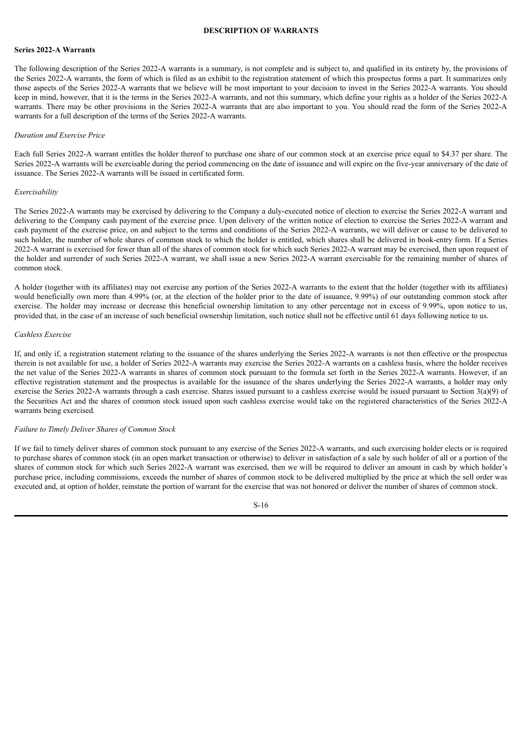#### **DESCRIPTION OF WARRANTS**

#### <span id="page-22-0"></span>**Series 2022-A Warrants**

The following description of the Series 2022-A warrants is a summary, is not complete and is subject to, and qualified in its entirety by, the provisions of the Series 2022-A warrants, the form of which is filed as an exhibit to the registration statement of which this prospectus forms a part. It summarizes only those aspects of the Series 2022-A warrants that we believe will be most important to your decision to invest in the Series 2022-A warrants. You should keep in mind, however, that it is the terms in the Series 2022-A warrants, and not this summary, which define your rights as a holder of the Series 2022-A warrants. There may be other provisions in the Series 2022-A warrants that are also important to you. You should read the form of the Series 2022-A warrants for a full description of the terms of the Series 2022-A warrants.

#### *Duration and Exercise Price*

Each full Series 2022-A warrant entitles the holder thereof to purchase one share of our common stock at an exercise price equal to \$4.37 per share. The Series 2022-A warrants will be exercisable during the period commencing on the date of issuance and will expire on the five-year anniversary of the date of issuance. The Series 2022-A warrants will be issued in certificated form.

#### *Exercisability*

The Series 2022-A warrants may be exercised by delivering to the Company a duly-executed notice of election to exercise the Series 2022-A warrant and delivering to the Company cash payment of the exercise price. Upon delivery of the written notice of election to exercise the Series 2022-A warrant and cash payment of the exercise price, on and subject to the terms and conditions of the Series 2022-A warrants, we will deliver or cause to be delivered to such holder, the number of whole shares of common stock to which the holder is entitled, which shares shall be delivered in book-entry form. If a Series 2022-A warrant is exercised for fewer than all of the shares of common stock for which such Series 2022-A warrant may be exercised, then upon request of the holder and surrender of such Series 2022-A warrant, we shall issue a new Series 2022-A warrant exercisable for the remaining number of shares of common stock.

A holder (together with its affiliates) may not exercise any portion of the Series 2022-A warrants to the extent that the holder (together with its affiliates) would beneficially own more than 4.99% (or, at the election of the holder prior to the date of issuance, 9.99%) of our outstanding common stock after exercise. The holder may increase or decrease this beneficial ownership limitation to any other percentage not in excess of 9.99%, upon notice to us, provided that, in the case of an increase of such beneficial ownership limitation, such notice shall not be effective until 61 days following notice to us.

#### *Cashless Exercise*

If, and only if, a registration statement relating to the issuance of the shares underlying the Series 2022-A warrants is not then effective or the prospectus therein is not available for use, a holder of Series 2022-A warrants may exercise the Series 2022-A warrants on a cashless basis, where the holder receives the net value of the Series 2022-A warrants in shares of common stock pursuant to the formula set forth in the Series 2022-A warrants. However, if an effective registration statement and the prospectus is available for the issuance of the shares underlying the Series 2022-A warrants, a holder may only exercise the Series 2022-A warrants through a cash exercise. Shares issued pursuant to a cashless exercise would be issued pursuant to Section 3(a)(9) of the Securities Act and the shares of common stock issued upon such cashless exercise would take on the registered characteristics of the Series 2022-A warrants being exercised.

# *Failure to Timely Deliver Shares of Common Stock*

If we fail to timely deliver shares of common stock pursuant to any exercise of the Series 2022-A warrants, and such exercising holder elects or is required to purchase shares of common stock (in an open market transaction or otherwise) to deliver in satisfaction of a sale by such holder of all or a portion of the shares of common stock for which such Series 2022-A warrant was exercised, then we will be required to deliver an amount in cash by which holder's purchase price, including commissions, exceeds the number of shares of common stock to be delivered multiplied by the price at which the sell order was executed and, at option of holder, reinstate the portion of warrant for the exercise that was not honored or deliver the number of shares of common stock.

S-16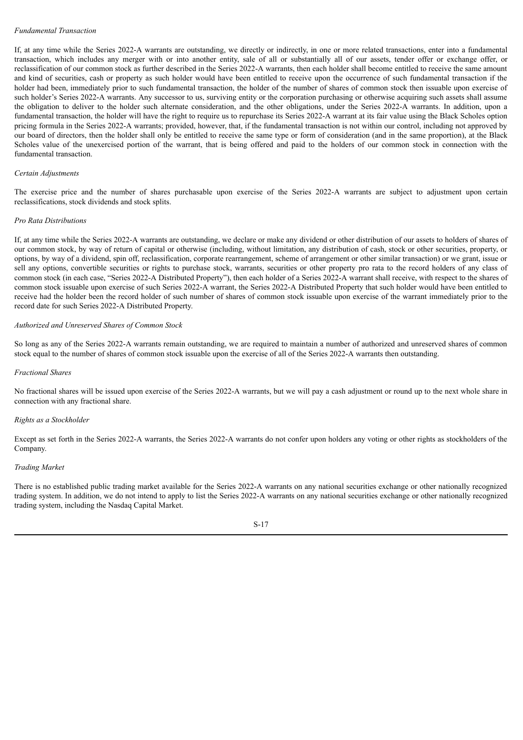# *Fundamental Transaction*

If, at any time while the Series 2022-A warrants are outstanding, we directly or indirectly, in one or more related transactions, enter into a fundamental transaction, which includes any merger with or into another entity, sale of all or substantially all of our assets, tender offer or exchange offer, or reclassification of our common stock as further described in the Series 2022-A warrants, then each holder shall become entitled to receive the same amount and kind of securities, cash or property as such holder would have been entitled to receive upon the occurrence of such fundamental transaction if the holder had been, immediately prior to such fundamental transaction, the holder of the number of shares of common stock then issuable upon exercise of such holder's Series 2022-A warrants. Any successor to us, surviving entity or the corporation purchasing or otherwise acquiring such assets shall assume the obligation to deliver to the holder such alternate consideration, and the other obligations, under the Series 2022-A warrants. In addition, upon a fundamental transaction, the holder will have the right to require us to repurchase its Series 2022-A warrant at its fair value using the Black Scholes option pricing formula in the Series 2022-A warrants; provided, however, that, if the fundamental transaction is not within our control, including not approved by our board of directors, then the holder shall only be entitled to receive the same type or form of consideration (and in the same proportion), at the Black Scholes value of the unexercised portion of the warrant, that is being offered and paid to the holders of our common stock in connection with the fundamental transaction.

#### *Certain Adjustments*

The exercise price and the number of shares purchasable upon exercise of the Series 2022-A warrants are subject to adjustment upon certain reclassifications, stock dividends and stock splits.

#### *Pro Rata Distributions*

If, at any time while the Series 2022-A warrants are outstanding, we declare or make any dividend or other distribution of our assets to holders of shares of our common stock, by way of return of capital or otherwise (including, without limitation, any distribution of cash, stock or other securities, property, or options, by way of a dividend, spin off, reclassification, corporate rearrangement, scheme of arrangement or other similar transaction) or we grant, issue or sell any options, convertible securities or rights to purchase stock, warrants, securities or other property pro rata to the record holders of any class of common stock (in each case, "Series 2022-A Distributed Property"), then each holder of a Series 2022-A warrant shall receive, with respect to the shares of common stock issuable upon exercise of such Series 2022-A warrant, the Series 2022-A Distributed Property that such holder would have been entitled to receive had the holder been the record holder of such number of shares of common stock issuable upon exercise of the warrant immediately prior to the record date for such Series 2022-A Distributed Property.

#### *Authorized and Unreserved Shares of Common Stock*

So long as any of the Series 2022-A warrants remain outstanding, we are required to maintain a number of authorized and unreserved shares of common stock equal to the number of shares of common stock issuable upon the exercise of all of the Series 2022-A warrants then outstanding.

#### *Fractional Shares*

No fractional shares will be issued upon exercise of the Series 2022-A warrants, but we will pay a cash adjustment or round up to the next whole share in connection with any fractional share.

#### *Rights as a Stockholder*

Except as set forth in the Series 2022-A warrants, the Series 2022-A warrants do not confer upon holders any voting or other rights as stockholders of the Company.

#### *Trading Market*

There is no established public trading market available for the Series 2022-A warrants on any national securities exchange or other nationally recognized trading system. In addition, we do not intend to apply to list the Series 2022-A warrants on any national securities exchange or other nationally recognized trading system, including the Nasdaq Capital Market.

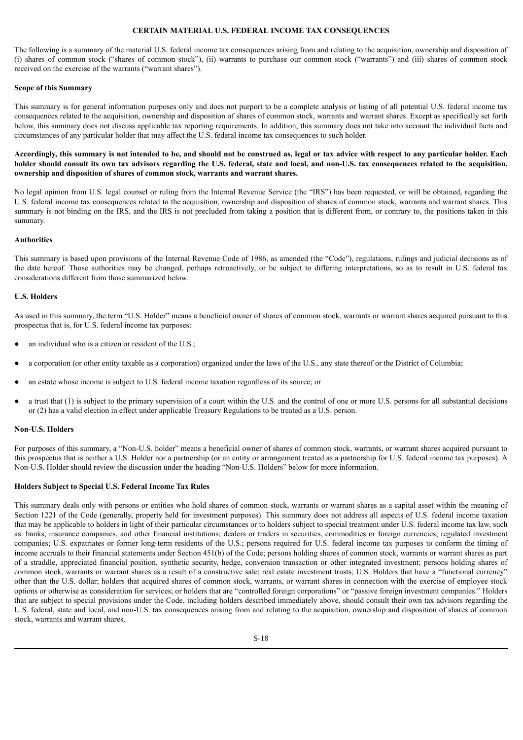## **CERTAIN MATERIAL U.S. FEDERAL INCOME TAX CONSEQUENCES**

<span id="page-24-0"></span>The following is a summary of the material U.S. federal income tax consequences arising from and relating to the acquisition, ownership and disposition of (i) shares of common stock ("shares of common stock"), (ii) warrants to purchase our common stock ("warrants") and (iii) shares of common stock received on the exercise of the warrants ("warrant shares").

## **Scope of this Summary**

This summary is for general information purposes only and does not purport to be a complete analysis or listing of all potential U.S. federal income tax consequences related to the acquisition, ownership and disposition of shares of common stock, warrants and warrant shares. Except as specifically set forth below, this summary does not discuss applicable tax reporting requirements. In addition, this summary does not take into account the individual facts and circumstances of any particular holder that may affect the U.S. federal income tax consequences to such holder.

# Accordingly, this summary is not intended to be, and should not be construed as, legal or tax advice with respect to any particular holder. Each holder should consult its own tax advisors regarding the U.S. federal, state and local, and non-U.S. tax consequences related to the acquisition, **ownership and disposition of shares of common stock, warrants and warrant shares.**

No legal opinion from U.S. legal counsel or ruling from the Internal Revenue Service (the "IRS") has been requested, or will be obtained, regarding the U.S. federal income tax consequences related to the acquisition, ownership and disposition of shares of common stock, warrants and warrant shares. This summary is not binding on the IRS, and the IRS is not precluded from taking a position that is different from, or contrary to, the positions taken in this summary.

# **Authorities**

This summary is based upon provisions of the Internal Revenue Code of 1986, as amended (the "Code"), regulations, rulings and judicial decisions as of the date hereof. Those authorities may be changed, perhaps retroactively, or be subject to differing interpretations, so as to result in U.S. federal tax considerations different from those summarized below.

#### **U.S. Holders**

As used in this summary, the term "U.S. Holder" means a beneficial owner of shares of common stock, warrants or warrant shares acquired pursuant to this prospectus that is, for U.S. federal income tax purposes:

- an individual who is a citizen or resident of the U.S.;
- a corporation (or other entity taxable as a corporation) organized under the laws of the U.S., any state thereof or the District of Columbia;
- an estate whose income is subject to U.S. federal income taxation regardless of its source; or
- a trust that (1) is subject to the primary supervision of a court within the U.S. and the control of one or more U.S. persons for all substantial decisions or (2) has a valid election in effect under applicable Treasury Regulations to be treated as a U.S. person.

#### **Non-U.S. Holders**

For purposes of this summary, a "Non-U.S. holder" means a beneficial owner of shares of common stock, warrants, or warrant shares acquired pursuant to this prospectus that is neither a U.S. Holder nor a partnership (or an entity or arrangement treated as a partnership for U.S. federal income tax purposes). A Non-U.S. Holder should review the discussion under the heading "Non-U.S. Holders" below for more information.

#### **Holders Subject to Special U.S. Federal Income Tax Rules**

This summary deals only with persons or entities who hold shares of common stock, warrants or warrant shares as a capital asset within the meaning of Section 1221 of the Code (generally, property held for investment purposes). This summary does not address all aspects of U.S. federal income taxation that may be applicable to holders in light of their particular circumstances or to holders subject to special treatment under U.S. federal income tax law, such as: banks, insurance companies, and other financial institutions; dealers or traders in securities, commodities or foreign currencies; regulated investment companies; U.S. expatriates or former long-term residents of the U.S.; persons required for U.S. federal income tax purposes to conform the timing of income accruals to their financial statements under Section 451(b) of the Code; persons holding shares of common stock, warrants or warrant shares as part of a straddle, appreciated financial position, synthetic security, hedge, conversion transaction or other integrated investment; persons holding shares of common stock, warrants or warrant shares as a result of a constructive sale; real estate investment trusts; U.S. Holders that have a "functional currency" other than the U.S. dollar; holders that acquired shares of common stock, warrants, or warrant shares in connection with the exercise of employee stock options or otherwise as consideration for services; or holders that are "controlled foreign corporations" or "passive foreign investment companies." Holders that are subject to special provisions under the Code, including holders described immediately above, should consult their own tax advisors regarding the U.S. federal, state and local, and non-U.S. tax consequences arising from and relating to the acquisition, ownership and disposition of shares of common stock, warrants and warrant shares.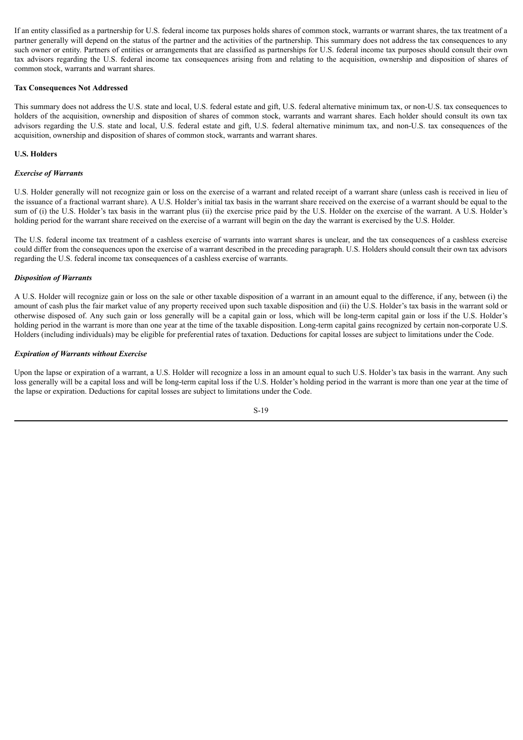If an entity classified as a partnership for U.S. federal income tax purposes holds shares of common stock, warrants or warrant shares, the tax treatment of a partner generally will depend on the status of the partner and the activities of the partnership. This summary does not address the tax consequences to any such owner or entity. Partners of entities or arrangements that are classified as partnerships for U.S. federal income tax purposes should consult their own tax advisors regarding the U.S. federal income tax consequences arising from and relating to the acquisition, ownership and disposition of shares of common stock, warrants and warrant shares.

# **Tax Consequences Not Addressed**

This summary does not address the U.S. state and local, U.S. federal estate and gift, U.S. federal alternative minimum tax, or non-U.S. tax consequences to holders of the acquisition, ownership and disposition of shares of common stock, warrants and warrant shares. Each holder should consult its own tax advisors regarding the U.S. state and local, U.S. federal estate and gift, U.S. federal alternative minimum tax, and non-U.S. tax consequences of the acquisition, ownership and disposition of shares of common stock, warrants and warrant shares.

# **U.S. Holders**

# *Exercise of Warrants*

U.S. Holder generally will not recognize gain or loss on the exercise of a warrant and related receipt of a warrant share (unless cash is received in lieu of the issuance of a fractional warrant share). A U.S. Holder's initial tax basis in the warrant share received on the exercise of a warrant should be equal to the sum of (i) the U.S. Holder's tax basis in the warrant plus (ii) the exercise price paid by the U.S. Holder on the exercise of the warrant. A U.S. Holder's holding period for the warrant share received on the exercise of a warrant will begin on the day the warrant is exercised by the U.S. Holder.

The U.S. federal income tax treatment of a cashless exercise of warrants into warrant shares is unclear, and the tax consequences of a cashless exercise could differ from the consequences upon the exercise of a warrant described in the preceding paragraph. U.S. Holders should consult their own tax advisors regarding the U.S. federal income tax consequences of a cashless exercise of warrants.

#### *Disposition of Warrants*

A U.S. Holder will recognize gain or loss on the sale or other taxable disposition of a warrant in an amount equal to the difference, if any, between (i) the amount of cash plus the fair market value of any property received upon such taxable disposition and (ii) the U.S. Holder's tax basis in the warrant sold or otherwise disposed of. Any such gain or loss generally will be a capital gain or loss, which will be long-term capital gain or loss if the U.S. Holder's holding period in the warrant is more than one year at the time of the taxable disposition. Long-term capital gains recognized by certain non-corporate U.S. Holders (including individuals) may be eligible for preferential rates of taxation. Deductions for capital losses are subject to limitations under the Code.

#### *Expiration of Warrants without Exercise*

Upon the lapse or expiration of a warrant, a U.S. Holder will recognize a loss in an amount equal to such U.S. Holder's tax basis in the warrant. Any such loss generally will be a capital loss and will be long-term capital loss if the U.S. Holder's holding period in the warrant is more than one year at the time of the lapse or expiration. Deductions for capital losses are subject to limitations under the Code.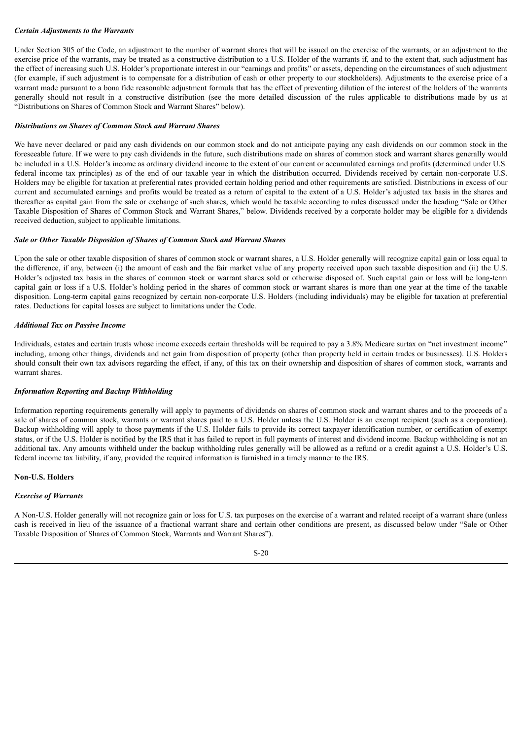# *Certain Adjustments to the Warrants*

Under Section 305 of the Code, an adjustment to the number of warrant shares that will be issued on the exercise of the warrants, or an adjustment to the exercise price of the warrants, may be treated as a constructive distribution to a U.S. Holder of the warrants if, and to the extent that, such adjustment has the effect of increasing such U.S. Holder's proportionate interest in our "earnings and profits" or assets, depending on the circumstances of such adjustment (for example, if such adjustment is to compensate for a distribution of cash or other property to our stockholders). Adjustments to the exercise price of a warrant made pursuant to a bona fide reasonable adjustment formula that has the effect of preventing dilution of the interest of the holders of the warrants generally should not result in a constructive distribution (see the more detailed discussion of the rules applicable to distributions made by us at "Distributions on Shares of Common Stock and Warrant Shares" below).

# *Distributions on Shares of Common Stock and Warrant Shares*

We have never declared or paid any cash dividends on our common stock and do not anticipate paying any cash dividends on our common stock in the foreseeable future. If we were to pay cash dividends in the future, such distributions made on shares of common stock and warrant shares generally would be included in a U.S. Holder's income as ordinary dividend income to the extent of our current or accumulated earnings and profits (determined under U.S. federal income tax principles) as of the end of our taxable year in which the distribution occurred. Dividends received by certain non-corporate U.S. Holders may be eligible for taxation at preferential rates provided certain holding period and other requirements are satisfied. Distributions in excess of our current and accumulated earnings and profits would be treated as a return of capital to the extent of a U.S. Holder's adjusted tax basis in the shares and thereafter as capital gain from the sale or exchange of such shares, which would be taxable according to rules discussed under the heading "Sale or Other Taxable Disposition of Shares of Common Stock and Warrant Shares," below. Dividends received by a corporate holder may be eligible for a dividends received deduction, subject to applicable limitations.

# *Sale or Other Taxable Disposition of Shares of Common Stock and Warrant Shares*

Upon the sale or other taxable disposition of shares of common stock or warrant shares, a U.S. Holder generally will recognize capital gain or loss equal to the difference, if any, between (i) the amount of cash and the fair market value of any property received upon such taxable disposition and (ii) the U.S. Holder's adjusted tax basis in the shares of common stock or warrant shares sold or otherwise disposed of. Such capital gain or loss will be long-term capital gain or loss if a U.S. Holder's holding period in the shares of common stock or warrant shares is more than one year at the time of the taxable disposition. Long-term capital gains recognized by certain non-corporate U.S. Holders (including individuals) may be eligible for taxation at preferential rates. Deductions for capital losses are subject to limitations under the Code.

#### *Additional Tax on Passive Income*

Individuals, estates and certain trusts whose income exceeds certain thresholds will be required to pay a 3.8% Medicare surtax on "net investment income" including, among other things, dividends and net gain from disposition of property (other than property held in certain trades or businesses). U.S. Holders should consult their own tax advisors regarding the effect, if any, of this tax on their ownership and disposition of shares of common stock, warrants and warrant shares.

# *Information Reporting and Backup Withholding*

Information reporting requirements generally will apply to payments of dividends on shares of common stock and warrant shares and to the proceeds of a sale of shares of common stock, warrants or warrant shares paid to a U.S. Holder unless the U.S. Holder is an exempt recipient (such as a corporation). Backup withholding will apply to those payments if the U.S. Holder fails to provide its correct taxpayer identification number, or certification of exempt status, or if the U.S. Holder is notified by the IRS that it has failed to report in full payments of interest and dividend income. Backup withholding is not an additional tax. Any amounts withheld under the backup withholding rules generally will be allowed as a refund or a credit against a U.S. Holder's U.S. federal income tax liability, if any, provided the required information is furnished in a timely manner to the IRS.

# **Non-U.S. Holders**

# *Exercise of Warrants*

A Non-U.S. Holder generally will not recognize gain or loss for U.S. tax purposes on the exercise of a warrant and related receipt of a warrant share (unless cash is received in lieu of the issuance of a fractional warrant share and certain other conditions are present, as discussed below under "Sale or Other Taxable Disposition of Shares of Common Stock, Warrants and Warrant Shares").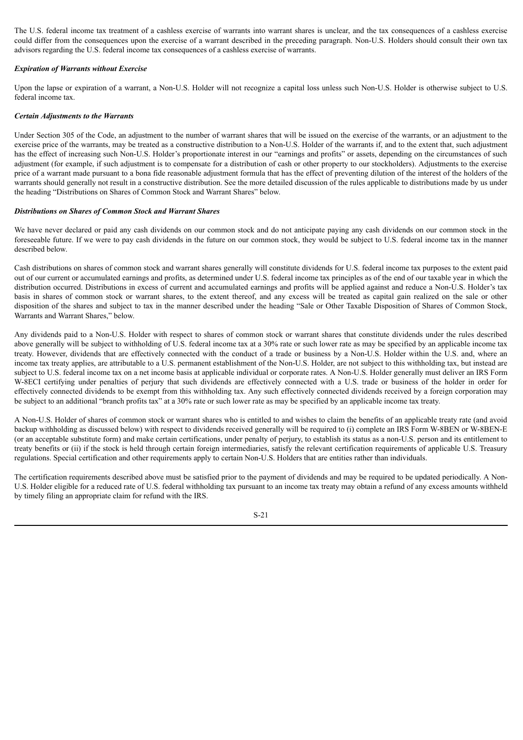The U.S. federal income tax treatment of a cashless exercise of warrants into warrant shares is unclear, and the tax consequences of a cashless exercise could differ from the consequences upon the exercise of a warrant described in the preceding paragraph. Non-U.S. Holders should consult their own tax advisors regarding the U.S. federal income tax consequences of a cashless exercise of warrants.

# *Expiration of Warrants without Exercise*

Upon the lapse or expiration of a warrant, a Non-U.S. Holder will not recognize a capital loss unless such Non-U.S. Holder is otherwise subject to U.S. federal income tax.

# *Certain Adjustments to the Warrants*

Under Section 305 of the Code, an adjustment to the number of warrant shares that will be issued on the exercise of the warrants, or an adjustment to the exercise price of the warrants, may be treated as a constructive distribution to a Non-U.S. Holder of the warrants if, and to the extent that, such adjustment has the effect of increasing such Non-U.S. Holder's proportionate interest in our "earnings and profits" or assets, depending on the circumstances of such adjustment (for example, if such adjustment is to compensate for a distribution of cash or other property to our stockholders). Adjustments to the exercise price of a warrant made pursuant to a bona fide reasonable adjustment formula that has the effect of preventing dilution of the interest of the holders of the warrants should generally not result in a constructive distribution. See the more detailed discussion of the rules applicable to distributions made by us under the heading "Distributions on Shares of Common Stock and Warrant Shares" below.

# *Distributions on Shares of Common Stock and Warrant Shares*

We have never declared or paid any cash dividends on our common stock and do not anticipate paying any cash dividends on our common stock in the foreseeable future. If we were to pay cash dividends in the future on our common stock, they would be subject to U.S. federal income tax in the manner described below.

Cash distributions on shares of common stock and warrant shares generally will constitute dividends for U.S. federal income tax purposes to the extent paid out of our current or accumulated earnings and profits, as determined under U.S. federal income tax principles as of the end of our taxable year in which the distribution occurred. Distributions in excess of current and accumulated earnings and profits will be applied against and reduce a Non-U.S. Holder's tax basis in shares of common stock or warrant shares, to the extent thereof, and any excess will be treated as capital gain realized on the sale or other disposition of the shares and subject to tax in the manner described under the heading "Sale or Other Taxable Disposition of Shares of Common Stock, Warrants and Warrant Shares," below.

Any dividends paid to a Non-U.S. Holder with respect to shares of common stock or warrant shares that constitute dividends under the rules described above generally will be subject to withholding of U.S. federal income tax at a 30% rate or such lower rate as may be specified by an applicable income tax treaty. However, dividends that are effectively connected with the conduct of a trade or business by a Non-U.S. Holder within the U.S. and, where an income tax treaty applies, are attributable to a U.S. permanent establishment of the Non-U.S. Holder, are not subject to this withholding tax, but instead are subject to U.S. federal income tax on a net income basis at applicable individual or corporate rates. A Non-U.S. Holder generally must deliver an IRS Form W-8ECI certifying under penalties of perjury that such dividends are effectively connected with a U.S. trade or business of the holder in order for effectively connected dividends to be exempt from this withholding tax. Any such effectively connected dividends received by a foreign corporation may be subject to an additional "branch profits tax" at a 30% rate or such lower rate as may be specified by an applicable income tax treaty.

A Non-U.S. Holder of shares of common stock or warrant shares who is entitled to and wishes to claim the benefits of an applicable treaty rate (and avoid backup withholding as discussed below) with respect to dividends received generally will be required to (i) complete an IRS Form W-8BEN or W-8BEN-E (or an acceptable substitute form) and make certain certifications, under penalty of perjury, to establish its status as a non-U.S. person and its entitlement to treaty benefits or (ii) if the stock is held through certain foreign intermediaries, satisfy the relevant certification requirements of applicable U.S. Treasury regulations. Special certification and other requirements apply to certain Non-U.S. Holders that are entities rather than individuals.

The certification requirements described above must be satisfied prior to the payment of dividends and may be required to be updated periodically. A Non-U.S. Holder eligible for a reduced rate of U.S. federal withholding tax pursuant to an income tax treaty may obtain a refund of any excess amounts withheld by timely filing an appropriate claim for refund with the IRS.

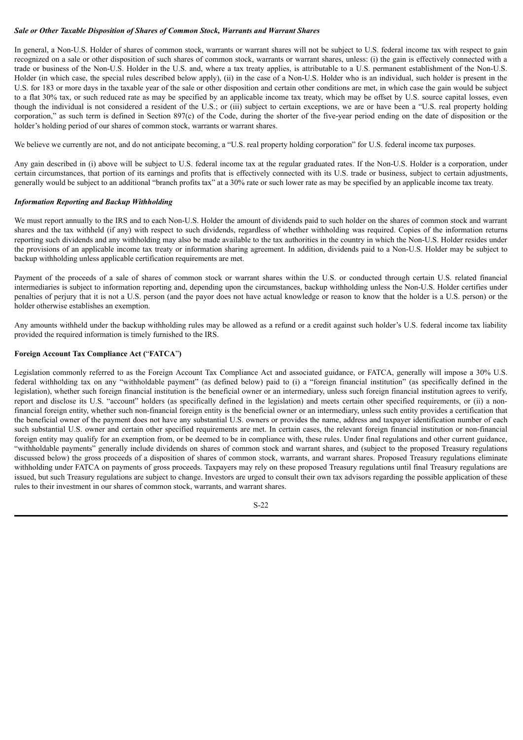# *Sale or Other Taxable Disposition of Shares of Common Stock, Warrants and Warrant Shares*

In general, a Non-U.S. Holder of shares of common stock, warrants or warrant shares will not be subject to U.S. federal income tax with respect to gain recognized on a sale or other disposition of such shares of common stock, warrants or warrant shares, unless: (i) the gain is effectively connected with a trade or business of the Non-U.S. Holder in the U.S. and, where a tax treaty applies, is attributable to a U.S. permanent establishment of the Non-U.S. Holder (in which case, the special rules described below apply), (ii) in the case of a Non-U.S. Holder who is an individual, such holder is present in the U.S. for 183 or more days in the taxable year of the sale or other disposition and certain other conditions are met, in which case the gain would be subject to a flat 30% tax, or such reduced rate as may be specified by an applicable income tax treaty, which may be offset by U.S. source capital losses, even though the individual is not considered a resident of the U.S.; or (iii) subject to certain exceptions, we are or have been a "U.S. real property holding corporation," as such term is defined in Section 897(c) of the Code, during the shorter of the five-year period ending on the date of disposition or the holder's holding period of our shares of common stock, warrants or warrant shares.

We believe we currently are not, and do not anticipate becoming, a "U.S. real property holding corporation" for U.S. federal income tax purposes.

Any gain described in (i) above will be subject to U.S. federal income tax at the regular graduated rates. If the Non-U.S. Holder is a corporation, under certain circumstances, that portion of its earnings and profits that is effectively connected with its U.S. trade or business, subject to certain adjustments, generally would be subject to an additional "branch profits tax" at a 30% rate or such lower rate as may be specified by an applicable income tax treaty.

#### *Information Reporting and Backup Withholding*

We must report annually to the IRS and to each Non-U.S. Holder the amount of dividends paid to such holder on the shares of common stock and warrant shares and the tax withheld (if any) with respect to such dividends, regardless of whether withholding was required. Copies of the information returns reporting such dividends and any withholding may also be made available to the tax authorities in the country in which the Non-U.S. Holder resides under the provisions of an applicable income tax treaty or information sharing agreement. In addition, dividends paid to a Non-U.S. Holder may be subject to backup withholding unless applicable certification requirements are met.

Payment of the proceeds of a sale of shares of common stock or warrant shares within the U.S. or conducted through certain U.S. related financial intermediaries is subject to information reporting and, depending upon the circumstances, backup withholding unless the Non-U.S. Holder certifies under penalties of perjury that it is not a U.S. person (and the payor does not have actual knowledge or reason to know that the holder is a U.S. person) or the holder otherwise establishes an exemption.

Any amounts withheld under the backup withholding rules may be allowed as a refund or a credit against such holder's U.S. federal income tax liability provided the required information is timely furnished to the IRS.

# **Foreign Account Tax Compliance Act (**"**FATCA**"**)**

Legislation commonly referred to as the Foreign Account Tax Compliance Act and associated guidance, or FATCA, generally will impose a 30% U.S. federal withholding tax on any "withholdable payment" (as defined below) paid to (i) a "foreign financial institution" (as specifically defined in the legislation), whether such foreign financial institution is the beneficial owner or an intermediary, unless such foreign financial institution agrees to verify, report and disclose its U.S. "account" holders (as specifically defined in the legislation) and meets certain other specified requirements, or (ii) a nonfinancial foreign entity, whether such non-financial foreign entity is the beneficial owner or an intermediary, unless such entity provides a certification that the beneficial owner of the payment does not have any substantial U.S. owners or provides the name, address and taxpayer identification number of each such substantial U.S. owner and certain other specified requirements are met. In certain cases, the relevant foreign financial institution or non-financial foreign entity may qualify for an exemption from, or be deemed to be in compliance with, these rules. Under final regulations and other current guidance, "withholdable payments" generally include dividends on shares of common stock and warrant shares, and (subject to the proposed Treasury regulations discussed below) the gross proceeds of a disposition of shares of common stock, warrants, and warrant shares. Proposed Treasury regulations eliminate withholding under FATCA on payments of gross proceeds. Taxpayers may rely on these proposed Treasury regulations until final Treasury regulations are issued, but such Treasury regulations are subject to change. Investors are urged to consult their own tax advisors regarding the possible application of these rules to their investment in our shares of common stock, warrants, and warrant shares.

S-22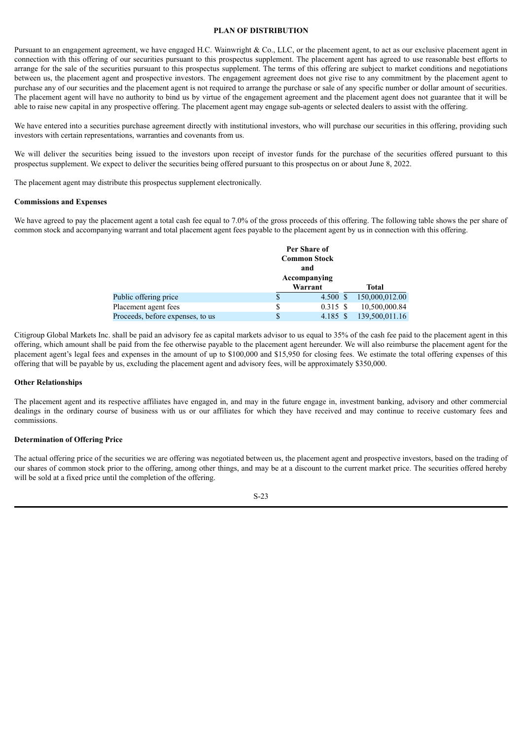#### **PLAN OF DISTRIBUTION**

<span id="page-29-0"></span>Pursuant to an engagement agreement, we have engaged H.C. Wainwright & Co., LLC, or the placement agent, to act as our exclusive placement agent in connection with this offering of our securities pursuant to this prospectus supplement. The placement agent has agreed to use reasonable best efforts to arrange for the sale of the securities pursuant to this prospectus supplement. The terms of this offering are subject to market conditions and negotiations between us, the placement agent and prospective investors. The engagement agreement does not give rise to any commitment by the placement agent to purchase any of our securities and the placement agent is not required to arrange the purchase or sale of any specific number or dollar amount of securities. The placement agent will have no authority to bind us by virtue of the engagement agreement and the placement agent does not guarantee that it will be able to raise new capital in any prospective offering. The placement agent may engage sub-agents or selected dealers to assist with the offering.

We have entered into a securities purchase agreement directly with institutional investors, who will purchase our securities in this offering, providing such investors with certain representations, warranties and covenants from us.

We will deliver the securities being issued to the investors upon receipt of investor funds for the purchase of the securities offered pursuant to this prospectus supplement. We expect to deliver the securities being offered pursuant to this prospectus on or about June 8, 2022.

The placement agent may distribute this prospectus supplement electronically.

#### **Commissions and Expenses**

We have agreed to pay the placement agent a total cash fee equal to 7.0% of the gross proceeds of this offering. The following table shows the per share of common stock and accompanying warrant and total placement agent fees payable to the placement agent by us in connection with this offering.

|                                  |    | Per Share of        |                |
|----------------------------------|----|---------------------|----------------|
|                                  |    | <b>Common Stock</b> |                |
|                                  |    | and                 |                |
|                                  |    | Accompanying        |                |
|                                  |    | Warrant             | <b>Total</b>   |
| Public offering price            |    | 4.500 \$            | 150,000,012.00 |
| Placement agent fees             | S  | 0.315S              | 10,500,000.84  |
| Proceeds, before expenses, to us | \$ | 4.185 \$            | 139,500,011.16 |

Citigroup Global Markets Inc. shall be paid an advisory fee as capital markets advisor to us equal to 35% of the cash fee paid to the placement agent in this offering, which amount shall be paid from the fee otherwise payable to the placement agent hereunder. We will also reimburse the placement agent for the placement agent's legal fees and expenses in the amount of up to \$100,000 and \$15,950 for closing fees. We estimate the total offering expenses of this offering that will be payable by us, excluding the placement agent and advisory fees, will be approximately \$350,000.

#### **Other Relationships**

The placement agent and its respective affiliates have engaged in, and may in the future engage in, investment banking, advisory and other commercial dealings in the ordinary course of business with us or our affiliates for which they have received and may continue to receive customary fees and commissions.

## **Determination of Offering Price**

The actual offering price of the securities we are offering was negotiated between us, the placement agent and prospective investors, based on the trading of our shares of common stock prior to the offering, among other things, and may be at a discount to the current market price. The securities offered hereby will be sold at a fixed price until the completion of the offering.

S-23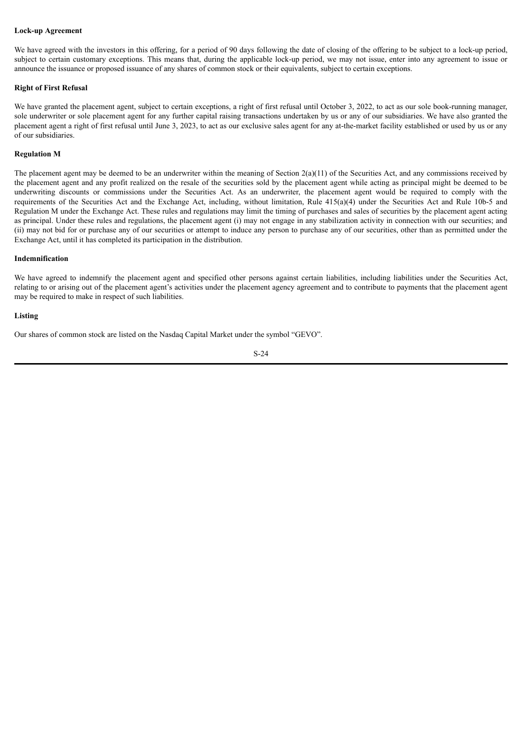# **Lock-up Agreement**

We have agreed with the investors in this offering, for a period of 90 days following the date of closing of the offering to be subject to a lock-up period, subject to certain customary exceptions. This means that, during the applicable lock-up period, we may not issue, enter into any agreement to issue or announce the issuance or proposed issuance of any shares of common stock or their equivalents, subject to certain exceptions.

# **Right of First Refusal**

We have granted the placement agent, subject to certain exceptions, a right of first refusal until October 3, 2022, to act as our sole book-running manager, sole underwriter or sole placement agent for any further capital raising transactions undertaken by us or any of our subsidiaries. We have also granted the placement agent a right of first refusal until June 3, 2023, to act as our exclusive sales agent for any at-the-market facility established or used by us or any of our subsidiaries.

#### **Regulation M**

The placement agent may be deemed to be an underwriter within the meaning of Section  $2(a)(11)$  of the Securities Act, and any commissions received by the placement agent and any profit realized on the resale of the securities sold by the placement agent while acting as principal might be deemed to be underwriting discounts or commissions under the Securities Act. As an underwriter, the placement agent would be required to comply with the requirements of the Securities Act and the Exchange Act, including, without limitation, Rule 415(a)(4) under the Securities Act and Rule 10b-5 and Regulation M under the Exchange Act. These rules and regulations may limit the timing of purchases and sales of securities by the placement agent acting as principal. Under these rules and regulations, the placement agent (i) may not engage in any stabilization activity in connection with our securities; and (ii) may not bid for or purchase any of our securities or attempt to induce any person to purchase any of our securities, other than as permitted under the Exchange Act, until it has completed its participation in the distribution.

#### **Indemnification**

We have agreed to indemnify the placement agent and specified other persons against certain liabilities, including liabilities under the Securities Act, relating to or arising out of the placement agent's activities under the placement agency agreement and to contribute to payments that the placement agent may be required to make in respect of such liabilities.

#### **Listing**

Our shares of common stock are listed on the Nasdaq Capital Market under the symbol "GEVO".

$$
S-24
$$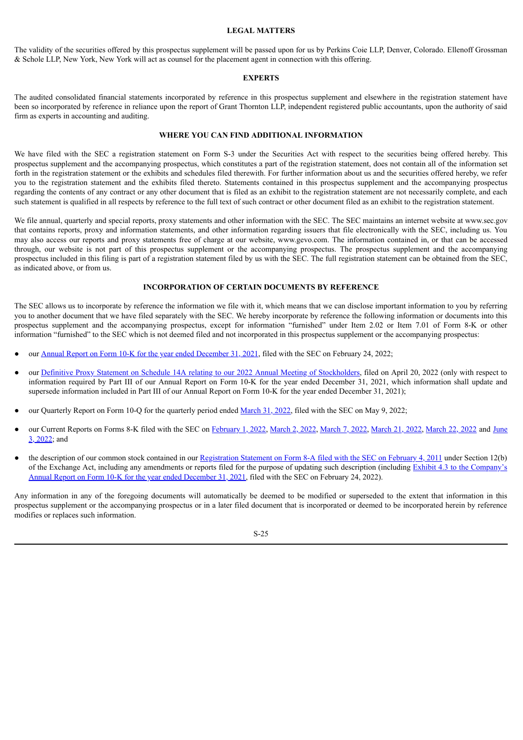#### **LEGAL MATTERS**

<span id="page-31-0"></span>The validity of the securities offered by this prospectus supplement will be passed upon for us by Perkins Coie LLP, Denver, Colorado. Ellenoff Grossman & Schole LLP, New York, New York will act as counsel for the placement agent in connection with this offering.

#### **EXPERTS**

<span id="page-31-1"></span>The audited consolidated financial statements incorporated by reference in this prospectus supplement and elsewhere in the registration statement have been so incorporated by reference in reliance upon the report of Grant Thornton LLP, independent registered public accountants, upon the authority of said firm as experts in accounting and auditing.

# **WHERE YOU CAN FIND ADDITIONAL INFORMATION**

<span id="page-31-2"></span>We have filed with the SEC a registration statement on Form S-3 under the Securities Act with respect to the securities being offered hereby. This prospectus supplement and the accompanying prospectus, which constitutes a part of the registration statement, does not contain all of the information set forth in the registration statement or the exhibits and schedules filed therewith. For further information about us and the securities offered hereby, we refer you to the registration statement and the exhibits filed thereto. Statements contained in this prospectus supplement and the accompanying prospectus regarding the contents of any contract or any other document that is filed as an exhibit to the registration statement are not necessarily complete, and each such statement is qualified in all respects by reference to the full text of such contract or other document filed as an exhibit to the registration statement.

We file annual, quarterly and special reports, proxy statements and other information with the SEC. The SEC maintains an internet website at www.sec.gov that contains reports, proxy and information statements, and other information regarding issuers that file electronically with the SEC, including us. You may also access our reports and proxy statements free of charge at our website, www.gevo.com. The information contained in, or that can be accessed through, our website is not part of this prospectus supplement or the accompanying prospectus. The prospectus supplement and the accompanying prospectus included in this filing is part of a registration statement filed by us with the SEC. The full registration statement can be obtained from the SEC, as indicated above, or from us.

# **INCORPORATION OF CERTAIN DOCUMENTS BY REFERENCE**

<span id="page-31-3"></span>The SEC allows us to incorporate by reference the information we file with it, which means that we can disclose important information to you by referring you to another document that we have filed separately with the SEC. We hereby incorporate by reference the following information or documents into this prospectus supplement and the accompanying prospectus, except for information "furnished" under Item 2.02 or Item 7.01 of Form 8-K or other information "furnished" to the SEC which is not deemed filed and not incorporated in this prospectus supplement or the accompanying prospectus:

- our Annual Report on Form 10-K for the year ended [December](http://www.sec.gov/Archives/edgar/data/1392380/000143774922004346/gevo20211231_10k.htm) 31, 2021, filed with the SEC on February 24, 2022;
- our Definitive Proxy Statement on Schedule 14A relating to our 2022 Annual Meeting of [Stockholders,](http://www.sec.gov/Archives/edgar/data/1392380/000143774922009332/gevo20220413_def14a.htm) filed on April 20, 2022 (only with respect to information required by Part III of our Annual Report on Form 10-K for the year ended December 31, 2021, which information shall update and supersede information included in Part III of our Annual Report on Form 10-K for the year ended December 31, 2021);
- our Quarterly Report on Form 10-Q for the quarterly period ended [March](http://www.sec.gov/Archives/edgar/data/1392380/000162828022013324/gevo-20220331.htm) 31, 2022, filed with the SEC on May 9, 2022;
- our Current Reports on Forms 8-K filed with the SEC on [February](http://www.sec.gov/Archives/edgar/data/1392380/000143774922002048/gevo20220128_8k.htm) 1, 2022, [March](http://www.sec.gov/Archives/edgar/data/1392380/000143774922006878/gevo20220316_8k.htm) 2, 2022, March 7, 2022, March 21, 2022, March 22, 2022 and June 3, 2022; and
- the description of our common stock contained in our [Registration](http://www.sec.gov/Archives/edgar/data/1392380/000119312511024122/d8a12b.htm) Statement on Form 8-A filed with the SEC on February 4, 2011 under Section 12(b) of the Exchange Act, including any [amendments](http://www.sec.gov/Archives/edgar/data/1392380/000143774922004346/ex_337696.htm) or reports filed for the purpose of updating such description (including Exhibit 4.3 to the Company's Annual Report on Form 10-K for the year ended December 31, 2021, filed with the SEC on February 24, 2022).

Any information in any of the foregoing documents will automatically be deemed to be modified or superseded to the extent that information in this prospectus supplement or the accompanying prospectus or in a later filed document that is incorporated or deemed to be incorporated herein by reference modifies or replaces such information.

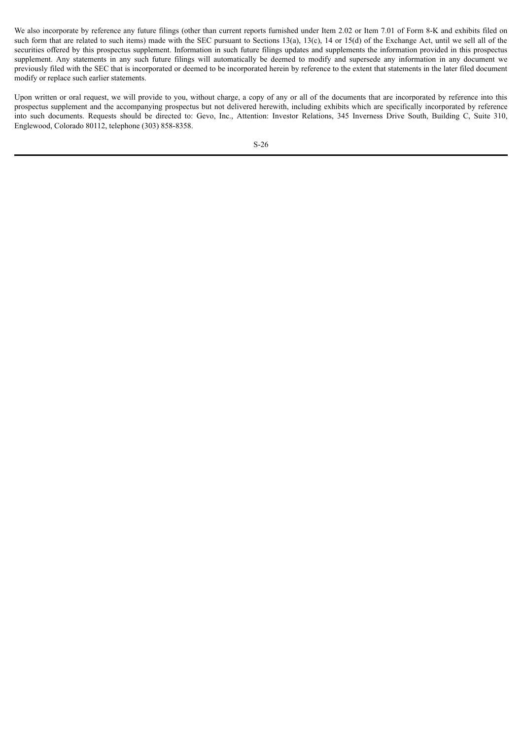We also incorporate by reference any future filings (other than current reports furnished under Item 2.02 or Item 7.01 of Form 8-K and exhibits filed on such form that are related to such items) made with the SEC pursuant to Sections 13(a), 13(c), 14 or 15(d) of the Exchange Act, until we sell all of the securities offered by this prospectus supplement. Information in such future filings updates and supplements the information provided in this prospectus supplement. Any statements in any such future filings will automatically be deemed to modify and supersede any information in any document we previously filed with the SEC that is incorporated or deemed to be incorporated herein by reference to the extent that statements in the later filed document modify or replace such earlier statements.

Upon written or oral request, we will provide to you, without charge, a copy of any or all of the documents that are incorporated by reference into this prospectus supplement and the accompanying prospectus but not delivered herewith, including exhibits which are specifically incorporated by reference into such documents. Requests should be directed to: Gevo, Inc., Attention: Investor Relations, 345 Inverness Drive South, Building C, Suite 310, Englewood, Colorado 80112, telephone (303) 858-8358.

S-26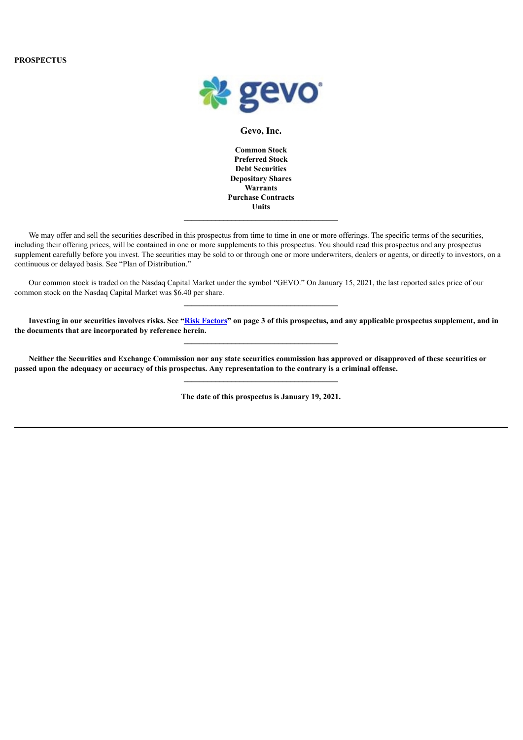

# **Gevo, Inc.**

**Common Stock Preferred Stock Debt Securities Depositary Shares Warrants Purchase Contracts Units**

We may offer and sell the securities described in this prospectus from time to time in one or more offerings. The specific terms of the securities, including their offering prices, will be contained in one or more supplements to this prospectus. You should read this prospectus and any prospectus supplement carefully before you invest. The securities may be sold to or through one or more underwriters, dealers or agents, or directly to investors, on a continuous or delayed basis. See "Plan of Distribution."

Our common stock is traded on the Nasdaq Capital Market under the symbol "GEVO." On January 15, 2021, the last reported sales price of our common stock on the Nasdaq Capital Market was \$6.40 per share.

Investing in our securities involves risks. See "Risk [Factors"](#page-37-0) on page 3 of this prospectus, and any applicable prospectus supplement, and in **the documents that are incorporated by reference herein.**

**\_\_\_\_\_\_\_\_\_\_\_\_\_\_\_\_\_\_\_\_\_\_\_\_\_\_\_\_\_\_\_\_\_\_\_\_\_\_\_**

Neither the Securities and Exchange Commission nor any state securities commission has approved or disapproved of these securities or passed upon the adequacy or accuracy of this prospectus. Any representation to the contrary is a criminal offense.

**The date of this prospectus is January 19, 2021.**

**\_\_\_\_\_\_\_\_\_\_\_\_\_\_\_\_\_\_\_\_\_\_\_\_\_\_\_\_\_\_\_\_\_\_\_\_\_\_\_**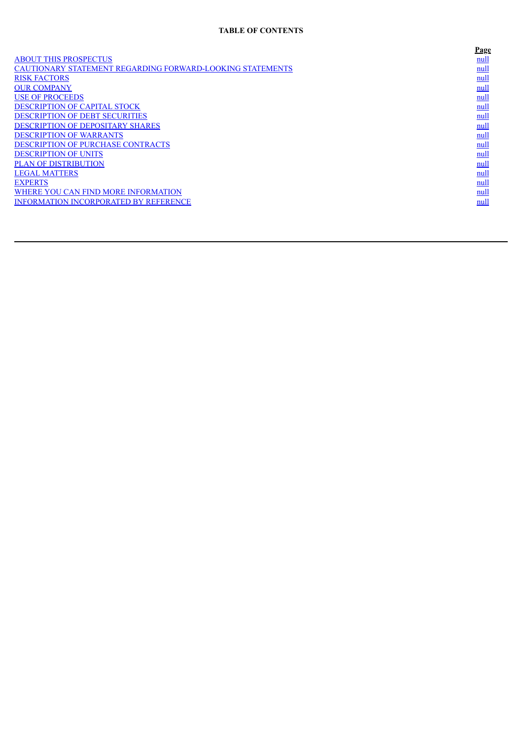# **TABLE OF CONTENTS**

|                                                                  | Page |
|------------------------------------------------------------------|------|
| <b>ABOUT THIS PROSPECTUS</b>                                     | null |
| <b>CAUTIONARY STATEMENT REGARDING FORWARD-LOOKING STATEMENTS</b> | null |
| <b>RISK FACTORS</b>                                              | null |
| <b>OUR COMPANY</b>                                               | null |
| <b>USE OF PROCEEDS</b>                                           | null |
| DESCRIPTION OF CAPITAL STOCK                                     | null |
| <b>DESCRIPTION OF DEBT SECURITIES</b>                            | null |
| <b>DESCRIPTION OF DEPOSITARY SHARES</b>                          | null |
| <b>DESCRIPTION OF WARRANTS</b>                                   | null |
| <b>DESCRIPTION OF PURCHASE CONTRACTS</b>                         | null |
| <b>DESCRIPTION OF UNITS</b>                                      | null |
| <b>PLAN OF DISTRIBUTION</b>                                      | null |
| <b>LEGAL MATTERS</b>                                             | null |
| <b>EXPERTS</b>                                                   | null |
| WHERE YOU CAN FIND MORE INFORMATION                              | null |
| <b>INFORMATION INCORPORATED BY REFERENCE</b>                     | null |
|                                                                  |      |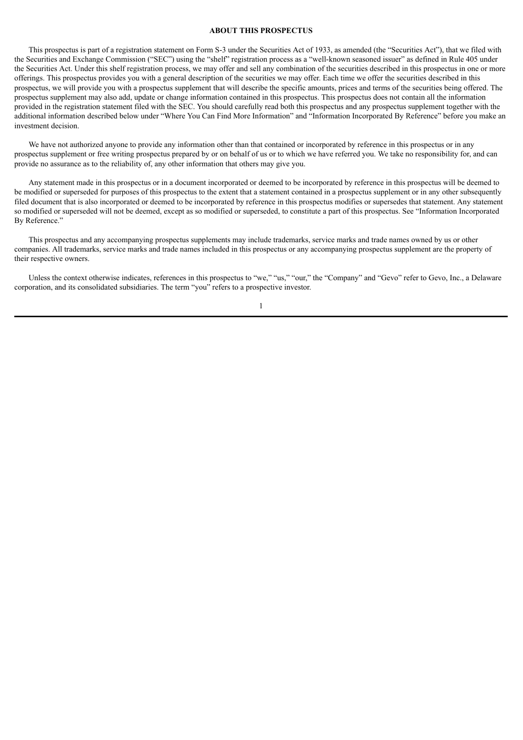#### **ABOUT THIS PROSPECTUS**

<span id="page-35-0"></span>This prospectus is part of a registration statement on Form S-3 under the Securities Act of 1933, as amended (the "Securities Act"), that we filed with the Securities and Exchange Commission ("SEC") using the "shelf" registration process as a "well-known seasoned issuer" as defined in Rule 405 under the Securities Act. Under this shelf registration process, we may offer and sell any combination of the securities described in this prospectus in one or more offerings. This prospectus provides you with a general description of the securities we may offer. Each time we offer the securities described in this prospectus, we will provide you with a prospectus supplement that will describe the specific amounts, prices and terms of the securities being offered. The prospectus supplement may also add, update or change information contained in this prospectus. This prospectus does not contain all the information provided in the registration statement filed with the SEC. You should carefully read both this prospectus and any prospectus supplement together with the additional information described below under "Where You Can Find More Information" and "Information Incorporated By Reference" before you make an investment decision.

We have not authorized anyone to provide any information other than that contained or incorporated by reference in this prospectus or in any prospectus supplement or free writing prospectus prepared by or on behalf of us or to which we have referred you. We take no responsibility for, and can provide no assurance as to the reliability of, any other information that others may give you.

Any statement made in this prospectus or in a document incorporated or deemed to be incorporated by reference in this prospectus will be deemed to be modified or superseded for purposes of this prospectus to the extent that a statement contained in a prospectus supplement or in any other subsequently filed document that is also incorporated or deemed to be incorporated by reference in this prospectus modifies or supersedes that statement. Any statement so modified or superseded will not be deemed, except as so modified or superseded, to constitute a part of this prospectus. See "Information Incorporated By Reference."

This prospectus and any accompanying prospectus supplements may include trademarks, service marks and trade names owned by us or other companies. All trademarks, service marks and trade names included in this prospectus or any accompanying prospectus supplement are the property of their respective owners.

Unless the context otherwise indicates, references in this prospectus to "we," "us," "our," the "Company" and "Gevo" refer to Gevo, Inc., a Delaware corporation, and its consolidated subsidiaries. The term "you" refers to a prospective investor.

1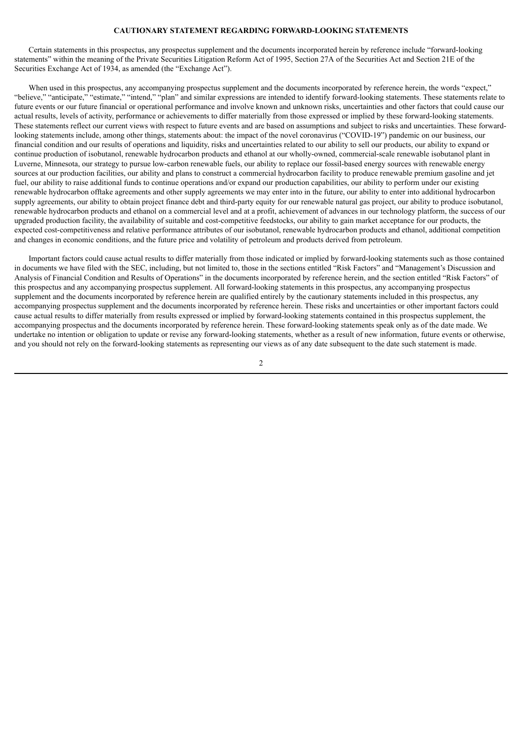# **CAUTIONARY STATEMENT REGARDING FORWARD-LOOKING STATEMENTS**

<span id="page-36-0"></span>Certain statements in this prospectus, any prospectus supplement and the documents incorporated herein by reference include "forward-looking statements" within the meaning of the Private Securities Litigation Reform Act of 1995, Section 27A of the Securities Act and Section 21E of the Securities Exchange Act of 1934, as amended (the "Exchange Act").

When used in this prospectus, any accompanying prospectus supplement and the documents incorporated by reference herein, the words "expect," "believe," "anticipate," "estimate," "intend," "plan" and similar expressions are intended to identify forward-looking statements. These statements relate to future events or our future financial or operational performance and involve known and unknown risks, uncertainties and other factors that could cause our actual results, levels of activity, performance or achievements to differ materially from those expressed or implied by these forward-looking statements. These statements reflect our current views with respect to future events and are based on assumptions and subject to risks and uncertainties. These forwardlooking statements include, among other things, statements about: the impact of the novel coronavirus ("COVID-19") pandemic on our business, our financial condition and our results of operations and liquidity, risks and uncertainties related to our ability to sell our products, our ability to expand or continue production of isobutanol, renewable hydrocarbon products and ethanol at our wholly-owned, commercial-scale renewable isobutanol plant in Luverne, Minnesota, our strategy to pursue low-carbon renewable fuels, our ability to replace our fossil-based energy sources with renewable energy sources at our production facilities, our ability and plans to construct a commercial hydrocarbon facility to produce renewable premium gasoline and jet fuel, our ability to raise additional funds to continue operations and/or expand our production capabilities, our ability to perform under our existing renewable hydrocarbon offtake agreements and other supply agreements we may enter into in the future, our ability to enter into additional hydrocarbon supply agreements, our ability to obtain project finance debt and third-party equity for our renewable natural gas project, our ability to produce isobutanol, renewable hydrocarbon products and ethanol on a commercial level and at a profit, achievement of advances in our technology platform, the success of our upgraded production facility, the availability of suitable and cost-competitive feedstocks, our ability to gain market acceptance for our products, the expected cost-competitiveness and relative performance attributes of our isobutanol, renewable hydrocarbon products and ethanol, additional competition and changes in economic conditions, and the future price and volatility of petroleum and products derived from petroleum.

Important factors could cause actual results to differ materially from those indicated or implied by forward-looking statements such as those contained in documents we have filed with the SEC, including, but not limited to, those in the sections entitled "Risk Factors" and "Management's Discussion and Analysis of Financial Condition and Results of Operations" in the documents incorporated by reference herein, and the section entitled "Risk Factors" of this prospectus and any accompanying prospectus supplement. All forward-looking statements in this prospectus, any accompanying prospectus supplement and the documents incorporated by reference herein are qualified entirely by the cautionary statements included in this prospectus, any accompanying prospectus supplement and the documents incorporated by reference herein. These risks and uncertainties or other important factors could cause actual results to differ materially from results expressed or implied by forward-looking statements contained in this prospectus supplement, the accompanying prospectus and the documents incorporated by reference herein. These forward-looking statements speak only as of the date made. We undertake no intention or obligation to update or revise any forward-looking statements, whether as a result of new information, future events or otherwise, and you should not rely on the forward-looking statements as representing our views as of any date subsequent to the date such statement is made.

 $\overline{2}$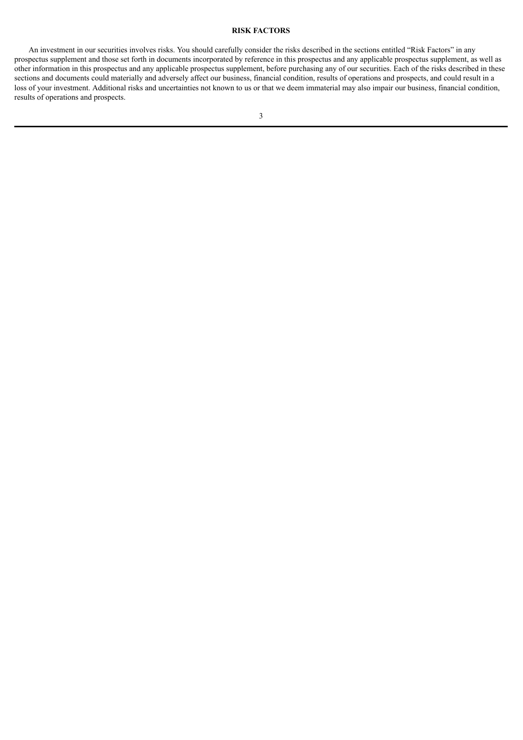# **RISK FACTORS**

<span id="page-37-0"></span>An investment in our securities involves risks. You should carefully consider the risks described in the sections entitled "Risk Factors" in any prospectus supplement and those set forth in documents incorporated by reference in this prospectus and any applicable prospectus supplement, as well as other information in this prospectus and any applicable prospectus supplement, before purchasing any of our securities. Each of the risks described in these sections and documents could materially and adversely affect our business, financial condition, results of operations and prospects, and could result in a loss of your investment. Additional risks and uncertainties not known to us or that we deem immaterial may also impair our business, financial condition, results of operations and prospects.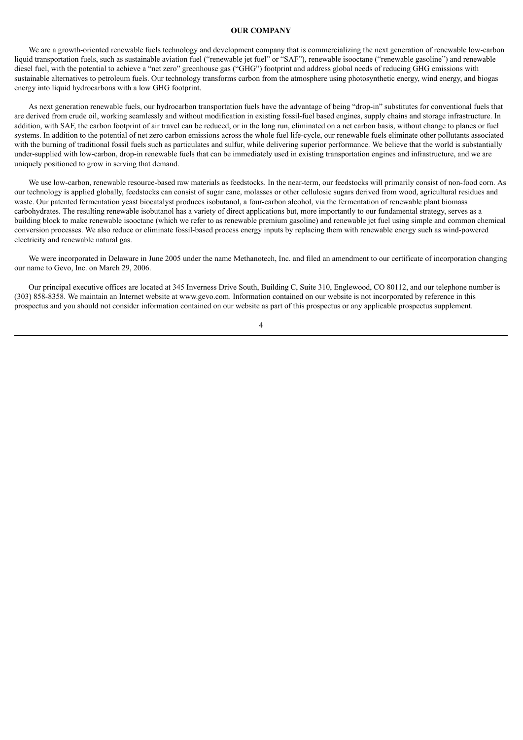#### **OUR COMPANY**

<span id="page-38-0"></span>We are a growth-oriented renewable fuels technology and development company that is commercializing the next generation of renewable low-carbon liquid transportation fuels, such as sustainable aviation fuel ("renewable jet fuel" or "SAF"), renewable isooctane ("renewable gasoline") and renewable diesel fuel, with the potential to achieve a "net zero" greenhouse gas ("GHG") footprint and address global needs of reducing GHG emissions with sustainable alternatives to petroleum fuels. Our technology transforms carbon from the atmosphere using photosynthetic energy, wind energy, and biogas energy into liquid hydrocarbons with a low GHG footprint.

As next generation renewable fuels, our hydrocarbon transportation fuels have the advantage of being "drop-in" substitutes for conventional fuels that are derived from crude oil, working seamlessly and without modification in existing fossil-fuel based engines, supply chains and storage infrastructure. In addition, with SAF, the carbon footprint of air travel can be reduced, or in the long run, eliminated on a net carbon basis, without change to planes or fuel systems. In addition to the potential of net zero carbon emissions across the whole fuel life-cycle, our renewable fuels eliminate other pollutants associated with the burning of traditional fossil fuels such as particulates and sulfur, while delivering superior performance. We believe that the world is substantially under-supplied with low-carbon, drop-in renewable fuels that can be immediately used in existing transportation engines and infrastructure, and we are uniquely positioned to grow in serving that demand.

We use low-carbon, renewable resource-based raw materials as feedstocks. In the near-term, our feedstocks will primarily consist of non-food corn. As our technology is applied globally, feedstocks can consist of sugar cane, molasses or other cellulosic sugars derived from wood, agricultural residues and waste. Our patented fermentation yeast biocatalyst produces isobutanol, a four-carbon alcohol, via the fermentation of renewable plant biomass carbohydrates. The resulting renewable isobutanol has a variety of direct applications but, more importantly to our fundamental strategy, serves as a building block to make renewable isooctane (which we refer to as renewable premium gasoline) and renewable jet fuel using simple and common chemical conversion processes. We also reduce or eliminate fossil-based process energy inputs by replacing them with renewable energy such as wind-powered electricity and renewable natural gas.

We were incorporated in Delaware in June 2005 under the name Methanotech. Inc. and filed an amendment to our certificate of incorporation changing our name to Gevo, Inc. on March 29, 2006.

Our principal executive offices are located at 345 Inverness Drive South, Building C, Suite 310, Englewood, CO 80112, and our telephone number is (303) 858-8358. We maintain an Internet website at www.gevo.com. Information contained on our website is not incorporated by reference in this prospectus and you should not consider information contained on our website as part of this prospectus or any applicable prospectus supplement.

4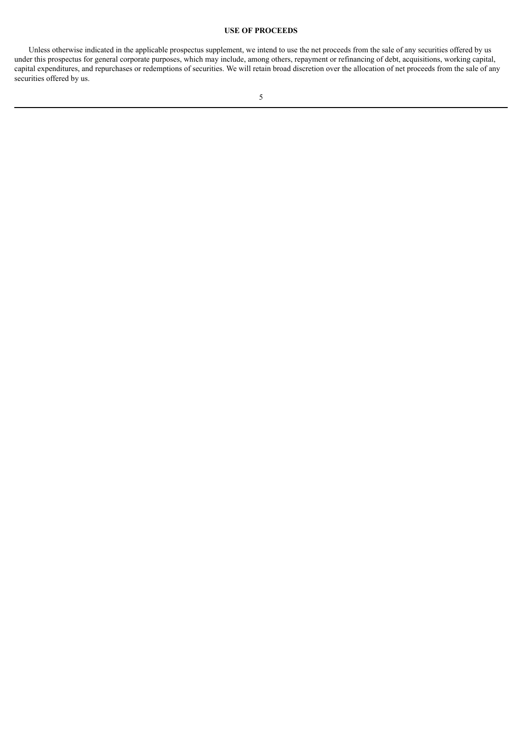# **USE OF PROCEEDS**

<span id="page-39-0"></span>Unless otherwise indicated in the applicable prospectus supplement, we intend to use the net proceeds from the sale of any securities offered by us under this prospectus for general corporate purposes, which may include, among others, repayment or refinancing of debt, acquisitions, working capital, capital expenditures, and repurchases or redemptions of securities. We will retain broad discretion over the allocation of net proceeds from the sale of any securities offered by us.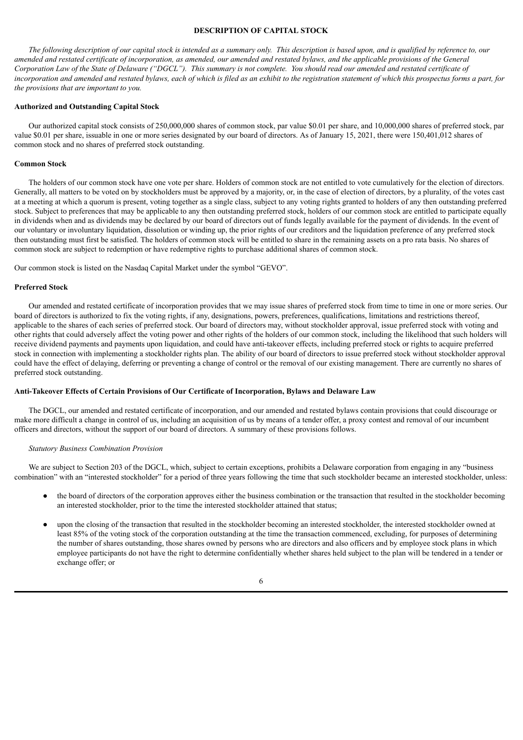# **DESCRIPTION OF CAPITAL STOCK**

<span id="page-40-0"></span>The following description of our capital stock is intended as a summary only. This description is based upon, and is qualified by reference to, our amended and restated certificate of incorporation, as amended, our amended and restated bylaws, and the applicable provisions of the General Corporation Law of the State of Delaware ("DGCL"). This summary is not complete. You should read our amended and restated certificate of incorporation and amended and restated bylaws, each of which is filed as an exhibit to the registration statement of which this prospectus forms a part, for *the provisions that are important to you.*

#### **Authorized and Outstanding Capital Stock**

Our authorized capital stock consists of 250,000,000 shares of common stock, par value \$0.01 per share, and 10,000,000 shares of preferred stock, par value \$0.01 per share, issuable in one or more series designated by our board of directors. As of January 15, 2021, there were 150,401,012 shares of common stock and no shares of preferred stock outstanding.

#### **Common Stock**

The holders of our common stock have one vote per share. Holders of common stock are not entitled to vote cumulatively for the election of directors. Generally, all matters to be voted on by stockholders must be approved by a majority, or, in the case of election of directors, by a plurality, of the votes cast at a meeting at which a quorum is present, voting together as a single class, subject to any voting rights granted to holders of any then outstanding preferred stock. Subject to preferences that may be applicable to any then outstanding preferred stock, holders of our common stock are entitled to participate equally in dividends when and as dividends may be declared by our board of directors out of funds legally available for the payment of dividends. In the event of our voluntary or involuntary liquidation, dissolution or winding up, the prior rights of our creditors and the liquidation preference of any preferred stock then outstanding must first be satisfied. The holders of common stock will be entitled to share in the remaining assets on a pro rata basis. No shares of common stock are subject to redemption or have redemptive rights to purchase additional shares of common stock.

Our common stock is listed on the Nasdaq Capital Market under the symbol "GEVO".

#### **Preferred Stock**

Our amended and restated certificate of incorporation provides that we may issue shares of preferred stock from time to time in one or more series. Our board of directors is authorized to fix the voting rights, if any, designations, powers, preferences, qualifications, limitations and restrictions thereof, applicable to the shares of each series of preferred stock. Our board of directors may, without stockholder approval, issue preferred stock with voting and other rights that could adversely affect the voting power and other rights of the holders of our common stock, including the likelihood that such holders will receive dividend payments and payments upon liquidation, and could have anti-takeover effects, including preferred stock or rights to acquire preferred stock in connection with implementing a stockholder rights plan. The ability of our board of directors to issue preferred stock without stockholder approval could have the effect of delaying, deferring or preventing a change of control or the removal of our existing management. There are currently no shares of preferred stock outstanding.

#### **Anti-Takeover Effects of Certain Provisions of Our Certificate of Incorporation, Bylaws and Delaware Law**

The DGCL, our amended and restated certificate of incorporation, and our amended and restated bylaws contain provisions that could discourage or make more difficult a change in control of us, including an acquisition of us by means of a tender offer, a proxy contest and removal of our incumbent officers and directors, without the support of our board of directors. A summary of these provisions follows.

#### *Statutory Business Combination Provision*

We are subject to Section 203 of the DGCL, which, subject to certain exceptions, prohibits a Delaware corporation from engaging in any "business" combination" with an "interested stockholder" for a period of three years following the time that such stockholder became an interested stockholder, unless:

- the board of directors of the corporation approves either the business combination or the transaction that resulted in the stockholder becoming an interested stockholder, prior to the time the interested stockholder attained that status;
- upon the closing of the transaction that resulted in the stockholder becoming an interested stockholder, the interested stockholder owned at least 85% of the voting stock of the corporation outstanding at the time the transaction commenced, excluding, for purposes of determining the number of shares outstanding, those shares owned by persons who are directors and also officers and by employee stock plans in which employee participants do not have the right to determine confidentially whether shares held subject to the plan will be tendered in a tender or exchange offer; or

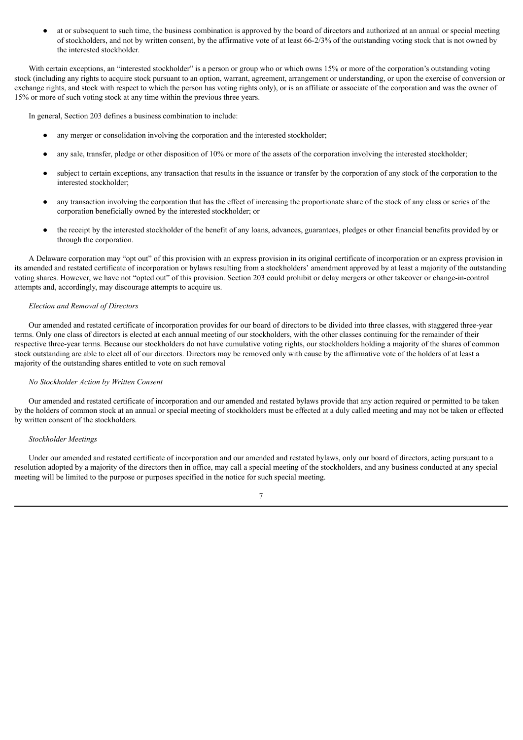at or subsequent to such time, the business combination is approved by the board of directors and authorized at an annual or special meeting of stockholders, and not by written consent, by the affirmative vote of at least 66-2/3% of the outstanding voting stock that is not owned by the interested stockholder.

With certain exceptions, an "interested stockholder" is a person or group who or which owns 15% or more of the corporation's outstanding voting stock (including any rights to acquire stock pursuant to an option, warrant, agreement, arrangement or understanding, or upon the exercise of conversion or exchange rights, and stock with respect to which the person has voting rights only), or is an affiliate or associate of the corporation and was the owner of 15% or more of such voting stock at any time within the previous three years.

In general, Section 203 defines a business combination to include:

- any merger or consolidation involving the corporation and the interested stockholder;
- any sale, transfer, pledge or other disposition of 10% or more of the assets of the corporation involving the interested stockholder;
- subject to certain exceptions, any transaction that results in the issuance or transfer by the corporation of any stock of the corporation to the interested stockholder;
- any transaction involving the corporation that has the effect of increasing the proportionate share of the stock of any class or series of the corporation beneficially owned by the interested stockholder; or
- the receipt by the interested stockholder of the benefit of any loans, advances, guarantees, pledges or other financial benefits provided by or through the corporation.

A Delaware corporation may "opt out" of this provision with an express provision in its original certificate of incorporation or an express provision in its amended and restated certificate of incorporation or bylaws resulting from a stockholders' amendment approved by at least a majority of the outstanding voting shares. However, we have not "opted out" of this provision. Section 203 could prohibit or delay mergers or other takeover or change-in-control attempts and, accordingly, may discourage attempts to acquire us.

#### *Election and Removal of Directors*

Our amended and restated certificate of incorporation provides for our board of directors to be divided into three classes, with staggered three-year terms. Only one class of directors is elected at each annual meeting of our stockholders, with the other classes continuing for the remainder of their respective three-year terms. Because our stockholders do not have cumulative voting rights, our stockholders holding a majority of the shares of common stock outstanding are able to elect all of our directors. Directors may be removed only with cause by the affirmative vote of the holders of at least a majority of the outstanding shares entitled to vote on such removal

#### *No Stockholder Action by Written Consent*

Our amended and restated certificate of incorporation and our amended and restated bylaws provide that any action required or permitted to be taken by the holders of common stock at an annual or special meeting of stockholders must be effected at a duly called meeting and may not be taken or effected by written consent of the stockholders.

#### *Stockholder Meetings*

Under our amended and restated certificate of incorporation and our amended and restated bylaws, only our board of directors, acting pursuant to a resolution adopted by a majority of the directors then in office, may call a special meeting of the stockholders, and any business conducted at any special meeting will be limited to the purpose or purposes specified in the notice for such special meeting.

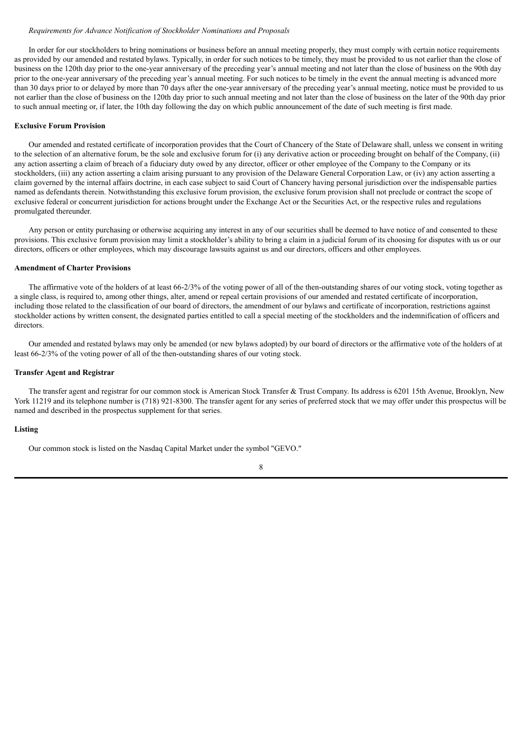#### *Requirements for Advance Notification of Stockholder Nominations and Proposals*

In order for our stockholders to bring nominations or business before an annual meeting properly, they must comply with certain notice requirements as provided by our amended and restated bylaws. Typically, in order for such notices to be timely, they must be provided to us not earlier than the close of business on the 120th day prior to the one-year anniversary of the preceding year's annual meeting and not later than the close of business on the 90th day prior to the one-year anniversary of the preceding year's annual meeting. For such notices to be timely in the event the annual meeting is advanced more than 30 days prior to or delayed by more than 70 days after the one-year anniversary of the preceding year's annual meeting, notice must be provided to us not earlier than the close of business on the 120th day prior to such annual meeting and not later than the close of business on the later of the 90th day prior to such annual meeting or, if later, the 10th day following the day on which public announcement of the date of such meeting is first made.

#### **Exclusive Forum Provision**

Our amended and restated certificate of incorporation provides that the Court of Chancery of the State of Delaware shall, unless we consent in writing to the selection of an alternative forum, be the sole and exclusive forum for (i) any derivative action or proceeding brought on behalf of the Company, (ii) any action asserting a claim of breach of a fiduciary duty owed by any director, officer or other employee of the Company to the Company or its stockholders, (iii) any action asserting a claim arising pursuant to any provision of the Delaware General Corporation Law, or (iv) any action asserting a claim governed by the internal affairs doctrine, in each case subject to said Court of Chancery having personal jurisdiction over the indispensable parties named as defendants therein. Notwithstanding this exclusive forum provision, the exclusive forum provision shall not preclude or contract the scope of exclusive federal or concurrent jurisdiction for actions brought under the Exchange Act or the Securities Act, or the respective rules and regulations promulgated thereunder.

Any person or entity purchasing or otherwise acquiring any interest in any of our securities shall be deemed to have notice of and consented to these provisions. This exclusive forum provision may limit a stockholder's ability to bring a claim in a judicial forum of its choosing for disputes with us or our directors, officers or other employees, which may discourage lawsuits against us and our directors, officers and other employees.

#### **Amendment of Charter Provisions**

The affirmative vote of the holders of at least 66-2/3% of the voting power of all of the then-outstanding shares of our voting stock, voting together as a single class, is required to, among other things, alter, amend or repeal certain provisions of our amended and restated certificate of incorporation, including those related to the classification of our board of directors, the amendment of our bylaws and certificate of incorporation, restrictions against stockholder actions by written consent, the designated parties entitled to call a special meeting of the stockholders and the indemnification of officers and directors.

Our amended and restated bylaws may only be amended (or new bylaws adopted) by our board of directors or the affirmative vote of the holders of at least 66-2/3% of the voting power of all of the then-outstanding shares of our voting stock.

## **Transfer Agent and Registrar**

The transfer agent and registrar for our common stock is American Stock Transfer & Trust Company. Its address is 6201 15th Avenue, Brooklyn, New York 11219 and its telephone number is (718) 921-8300. The transfer agent for any series of preferred stock that we may offer under this prospectus will be named and described in the prospectus supplement for that series.

# **Listing**

Our common stock is listed on the Nasdaq Capital Market under the symbol "GEVO."

8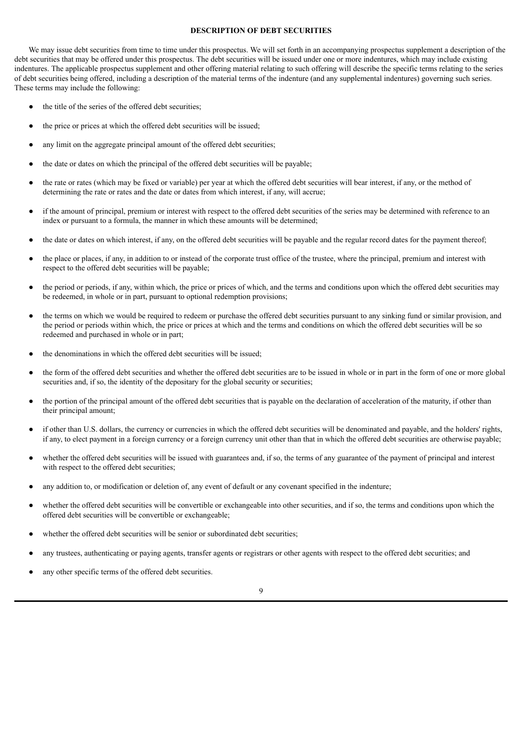#### **DESCRIPTION OF DEBT SECURITIES**

<span id="page-43-0"></span>We may issue debt securities from time to time under this prospectus. We will set forth in an accompanying prospectus supplement a description of the debt securities that may be offered under this prospectus. The debt securities will be issued under one or more indentures, which may include existing indentures. The applicable prospectus supplement and other offering material relating to such offering will describe the specific terms relating to the series of debt securities being offered, including a description of the material terms of the indenture (and any supplemental indentures) governing such series. These terms may include the following:

- the title of the series of the offered debt securities;
- the price or prices at which the offered debt securities will be issued;
- any limit on the aggregate principal amount of the offered debt securities;
- the date or dates on which the principal of the offered debt securities will be payable;
- the rate or rates (which may be fixed or variable) per year at which the offered debt securities will bear interest, if any, or the method of determining the rate or rates and the date or dates from which interest, if any, will accrue;
- if the amount of principal, premium or interest with respect to the offered debt securities of the series may be determined with reference to an index or pursuant to a formula, the manner in which these amounts will be determined;
- the date or dates on which interest, if any, on the offered debt securities will be payable and the regular record dates for the payment thereof;
- the place or places, if any, in addition to or instead of the corporate trust office of the trustee, where the principal, premium and interest with respect to the offered debt securities will be payable;
- the period or periods, if any, within which, the price or prices of which, and the terms and conditions upon which the offered debt securities may be redeemed, in whole or in part, pursuant to optional redemption provisions;
- the terms on which we would be required to redeem or purchase the offered debt securities pursuant to any sinking fund or similar provision, and the period or periods within which, the price or prices at which and the terms and conditions on which the offered debt securities will be so redeemed and purchased in whole or in part;
- the denominations in which the offered debt securities will be issued;
- the form of the offered debt securities and whether the offered debt securities are to be issued in whole or in part in the form of one or more global securities and, if so, the identity of the depositary for the global security or securities;
- the portion of the principal amount of the offered debt securities that is payable on the declaration of acceleration of the maturity, if other than their principal amount;
- if other than U.S. dollars, the currency or currencies in which the offered debt securities will be denominated and payable, and the holders' rights, if any, to elect payment in a foreign currency or a foreign currency unit other than that in which the offered debt securities are otherwise payable;
- whether the offered debt securities will be issued with guarantees and, if so, the terms of any guarantee of the payment of principal and interest with respect to the offered debt securities:
- any addition to, or modification or deletion of, any event of default or any covenant specified in the indenture;
- whether the offered debt securities will be convertible or exchangeable into other securities, and if so, the terms and conditions upon which the offered debt securities will be convertible or exchangeable;
- whether the offered debt securities will be senior or subordinated debt securities;
- any trustees, authenticating or paying agents, transfer agents or registrars or other agents with respect to the offered debt securities; and
- any other specific terms of the offered debt securities.

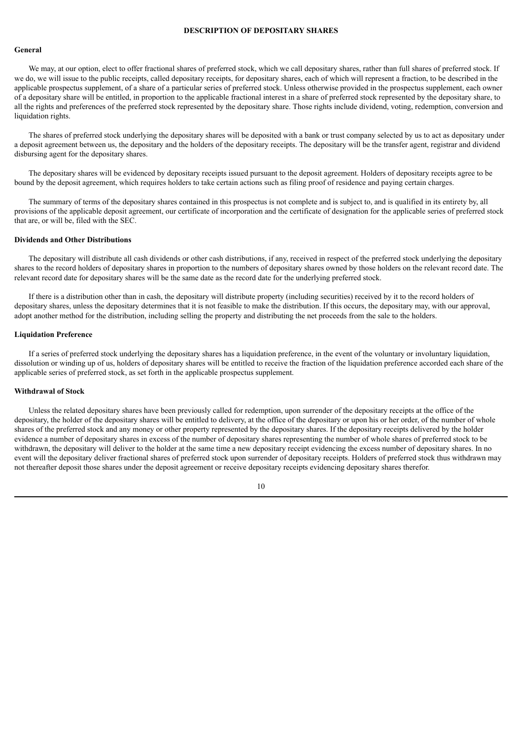#### **DESCRIPTION OF DEPOSITARY SHARES**

#### <span id="page-44-0"></span>**General**

We may, at our option, elect to offer fractional shares of preferred stock, which we call depositary shares, rather than full shares of preferred stock. If we do, we will issue to the public receipts, called depositary receipts, for depositary shares, each of which will represent a fraction, to be described in the applicable prospectus supplement, of a share of a particular series of preferred stock. Unless otherwise provided in the prospectus supplement, each owner of a depositary share will be entitled, in proportion to the applicable fractional interest in a share of preferred stock represented by the depositary share, to all the rights and preferences of the preferred stock represented by the depositary share. Those rights include dividend, voting, redemption, conversion and liquidation rights.

The shares of preferred stock underlying the depositary shares will be deposited with a bank or trust company selected by us to act as depositary under a deposit agreement between us, the depositary and the holders of the depositary receipts. The depositary will be the transfer agent, registrar and dividend disbursing agent for the depositary shares.

The depositary shares will be evidenced by depositary receipts issued pursuant to the deposit agreement. Holders of depositary receipts agree to be bound by the deposit agreement, which requires holders to take certain actions such as filing proof of residence and paying certain charges.

The summary of terms of the depositary shares contained in this prospectus is not complete and is subject to, and is qualified in its entirety by, all provisions of the applicable deposit agreement, our certificate of incorporation and the certificate of designation for the applicable series of preferred stock that are, or will be, filed with the SEC.

#### **Dividends and Other Distributions**

The depositary will distribute all cash dividends or other cash distributions, if any, received in respect of the preferred stock underlying the depositary shares to the record holders of depositary shares in proportion to the numbers of depositary shares owned by those holders on the relevant record date. The relevant record date for depositary shares will be the same date as the record date for the underlying preferred stock.

If there is a distribution other than in cash, the depositary will distribute property (including securities) received by it to the record holders of depositary shares, unless the depositary determines that it is not feasible to make the distribution. If this occurs, the depositary may, with our approval, adopt another method for the distribution, including selling the property and distributing the net proceeds from the sale to the holders.

#### **Liquidation Preference**

If a series of preferred stock underlying the depositary shares has a liquidation preference, in the event of the voluntary or involuntary liquidation, dissolution or winding up of us, holders of depositary shares will be entitled to receive the fraction of the liquidation preference accorded each share of the applicable series of preferred stock, as set forth in the applicable prospectus supplement.

# **Withdrawal of Stock**

Unless the related depositary shares have been previously called for redemption, upon surrender of the depositary receipts at the office of the depositary, the holder of the depositary shares will be entitled to delivery, at the office of the depositary or upon his or her order, of the number of whole shares of the preferred stock and any money or other property represented by the depositary shares. If the depositary receipts delivered by the holder evidence a number of depositary shares in excess of the number of depositary shares representing the number of whole shares of preferred stock to be withdrawn, the depositary will deliver to the holder at the same time a new depositary receipt evidencing the excess number of depositary shares. In no event will the depositary deliver fractional shares of preferred stock upon surrender of depositary receipts. Holders of preferred stock thus withdrawn may not thereafter deposit those shares under the deposit agreement or receive depositary receipts evidencing depositary shares therefor.

10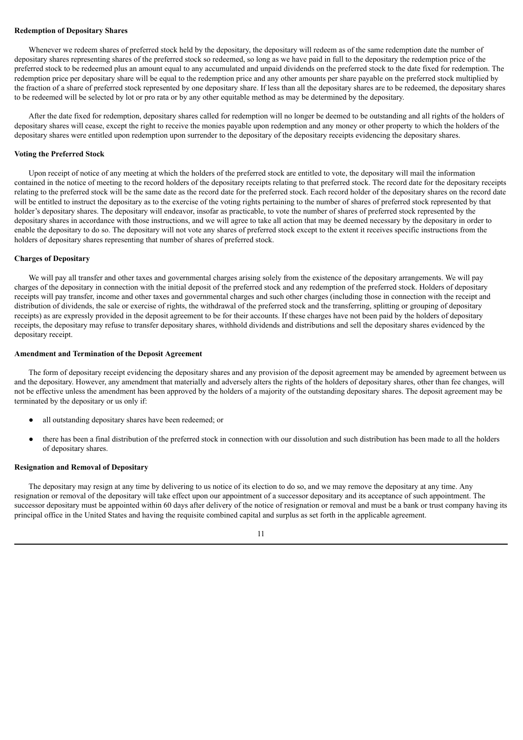#### **Redemption of Depositary Shares**

Whenever we redeem shares of preferred stock held by the depositary, the depositary will redeem as of the same redemption date the number of depositary shares representing shares of the preferred stock so redeemed, so long as we have paid in full to the depositary the redemption price of the preferred stock to be redeemed plus an amount equal to any accumulated and unpaid dividends on the preferred stock to the date fixed for redemption. The redemption price per depositary share will be equal to the redemption price and any other amounts per share payable on the preferred stock multiplied by the fraction of a share of preferred stock represented by one depositary share. If less than all the depositary shares are to be redeemed, the depositary shares to be redeemed will be selected by lot or pro rata or by any other equitable method as may be determined by the depositary.

After the date fixed for redemption, depositary shares called for redemption will no longer be deemed to be outstanding and all rights of the holders of depositary shares will cease, except the right to receive the monies payable upon redemption and any money or other property to which the holders of the depositary shares were entitled upon redemption upon surrender to the depositary of the depositary receipts evidencing the depositary shares.

#### **Voting the Preferred Stock**

Upon receipt of notice of any meeting at which the holders of the preferred stock are entitled to vote, the depositary will mail the information contained in the notice of meeting to the record holders of the depositary receipts relating to that preferred stock. The record date for the depositary receipts relating to the preferred stock will be the same date as the record date for the preferred stock. Each record holder of the depositary shares on the record date will be entitled to instruct the depositary as to the exercise of the voting rights pertaining to the number of shares of preferred stock represented by that holder's depositary shares. The depositary will endeavor, insofar as practicable, to vote the number of shares of preferred stock represented by the depositary shares in accordance with those instructions, and we will agree to take all action that may be deemed necessary by the depositary in order to enable the depositary to do so. The depositary will not vote any shares of preferred stock except to the extent it receives specific instructions from the holders of depositary shares representing that number of shares of preferred stock.

#### **Charges of Depositary**

We will pay all transfer and other taxes and governmental charges arising solely from the existence of the depositary arrangements. We will pay charges of the depositary in connection with the initial deposit of the preferred stock and any redemption of the preferred stock. Holders of depositary receipts will pay transfer, income and other taxes and governmental charges and such other charges (including those in connection with the receipt and distribution of dividends, the sale or exercise of rights, the withdrawal of the preferred stock and the transferring, splitting or grouping of depositary receipts) as are expressly provided in the deposit agreement to be for their accounts. If these charges have not been paid by the holders of depositary receipts, the depositary may refuse to transfer depositary shares, withhold dividends and distributions and sell the depositary shares evidenced by the depositary receipt.

#### **Amendment and Termination of the Deposit Agreement**

The form of depositary receipt evidencing the depositary shares and any provision of the deposit agreement may be amended by agreement between us and the depositary. However, any amendment that materially and adversely alters the rights of the holders of depositary shares, other than fee changes, will not be effective unless the amendment has been approved by the holders of a majority of the outstanding depositary shares. The deposit agreement may be terminated by the depositary or us only if:

- all outstanding depositary shares have been redeemed; or
- there has been a final distribution of the preferred stock in connection with our dissolution and such distribution has been made to all the holders of depositary shares.

# **Resignation and Removal of Depositary**

The depositary may resign at any time by delivering to us notice of its election to do so, and we may remove the depositary at any time. Any resignation or removal of the depositary will take effect upon our appointment of a successor depositary and its acceptance of such appointment. The successor depositary must be appointed within 60 days after delivery of the notice of resignation or removal and must be a bank or trust company having its principal office in the United States and having the requisite combined capital and surplus as set forth in the applicable agreement.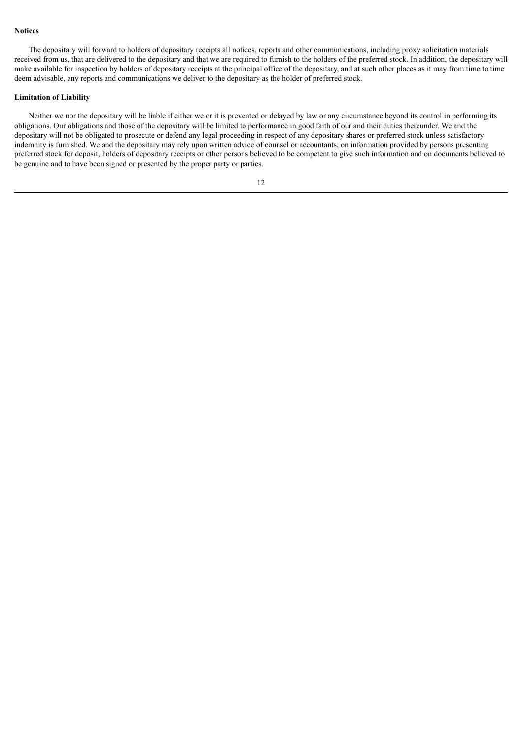#### **Notices**

The depositary will forward to holders of depositary receipts all notices, reports and other communications, including proxy solicitation materials received from us, that are delivered to the depositary and that we are required to furnish to the holders of the preferred stock. In addition, the depositary will make available for inspection by holders of depositary receipts at the principal office of the depositary, and at such other places as it may from time to time deem advisable, any reports and communications we deliver to the depositary as the holder of preferred stock.

#### **Limitation of Liability**

Neither we nor the depositary will be liable if either we or it is prevented or delayed by law or any circumstance beyond its control in performing its obligations. Our obligations and those of the depositary will be limited to performance in good faith of our and their duties thereunder. We and the depositary will not be obligated to prosecute or defend any legal proceeding in respect of any depositary shares or preferred stock unless satisfactory indemnity is furnished. We and the depositary may rely upon written advice of counsel or accountants, on information provided by persons presenting preferred stock for deposit, holders of depositary receipts or other persons believed to be competent to give such information and on documents believed to be genuine and to have been signed or presented by the proper party or parties.

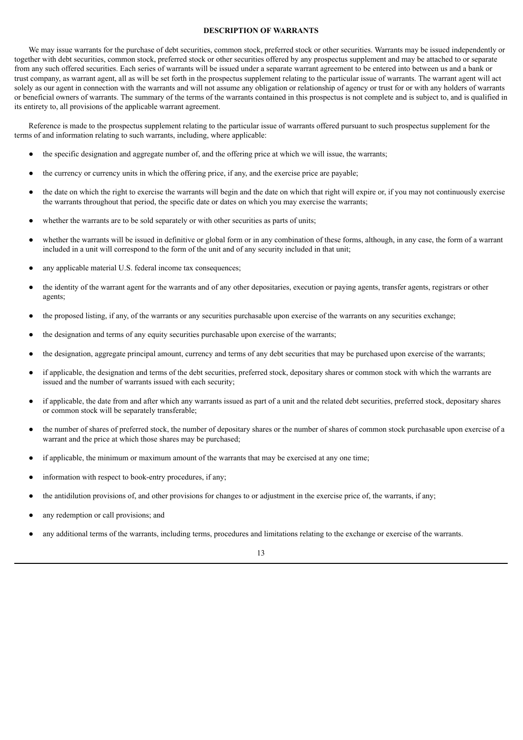# **DESCRIPTION OF WARRANTS**

<span id="page-47-0"></span>We may issue warrants for the purchase of debt securities, common stock, preferred stock or other securities. Warrants may be issued independently or together with debt securities, common stock, preferred stock or other securities offered by any prospectus supplement and may be attached to or separate from any such offered securities. Each series of warrants will be issued under a separate warrant agreement to be entered into between us and a bank or trust company, as warrant agent, all as will be set forth in the prospectus supplement relating to the particular issue of warrants. The warrant agent will act solely as our agent in connection with the warrants and will not assume any obligation or relationship of agency or trust for or with any holders of warrants or beneficial owners of warrants. The summary of the terms of the warrants contained in this prospectus is not complete and is subject to, and is qualified in its entirety to, all provisions of the applicable warrant agreement.

Reference is made to the prospectus supplement relating to the particular issue of warrants offered pursuant to such prospectus supplement for the terms of and information relating to such warrants, including, where applicable:

- the specific designation and aggregate number of, and the offering price at which we will issue, the warrants;
- the currency or currency units in which the offering price, if any, and the exercise price are payable;
- the date on which the right to exercise the warrants will begin and the date on which that right will expire or, if you may not continuously exercise the warrants throughout that period, the specific date or dates on which you may exercise the warrants;
- whether the warrants are to be sold separately or with other securities as parts of units;
- whether the warrants will be issued in definitive or global form or in any combination of these forms, although, in any case, the form of a warrant included in a unit will correspond to the form of the unit and of any security included in that unit;
- any applicable material U.S. federal income tax consequences;
- the identity of the warrant agent for the warrants and of any other depositaries, execution or paying agents, transfer agents, registrars or other agents;
- the proposed listing, if any, of the warrants or any securities purchasable upon exercise of the warrants on any securities exchange;
- the designation and terms of any equity securities purchasable upon exercise of the warrants;
- the designation, aggregate principal amount, currency and terms of any debt securities that may be purchased upon exercise of the warrants;
- if applicable, the designation and terms of the debt securities, preferred stock, depositary shares or common stock with which the warrants are issued and the number of warrants issued with each security;
- if applicable, the date from and after which any warrants issued as part of a unit and the related debt securities, preferred stock, depositary shares or common stock will be separately transferable;
- the number of shares of preferred stock, the number of depositary shares or the number of shares of common stock purchasable upon exercise of a warrant and the price at which those shares may be purchased;
- if applicable, the minimum or maximum amount of the warrants that may be exercised at any one time;
- information with respect to book-entry procedures, if any;
- the antidilution provisions of, and other provisions for changes to or adjustment in the exercise price of, the warrants, if any;
- any redemption or call provisions; and
- any additional terms of the warrants, including terms, procedures and limitations relating to the exchange or exercise of the warrants.

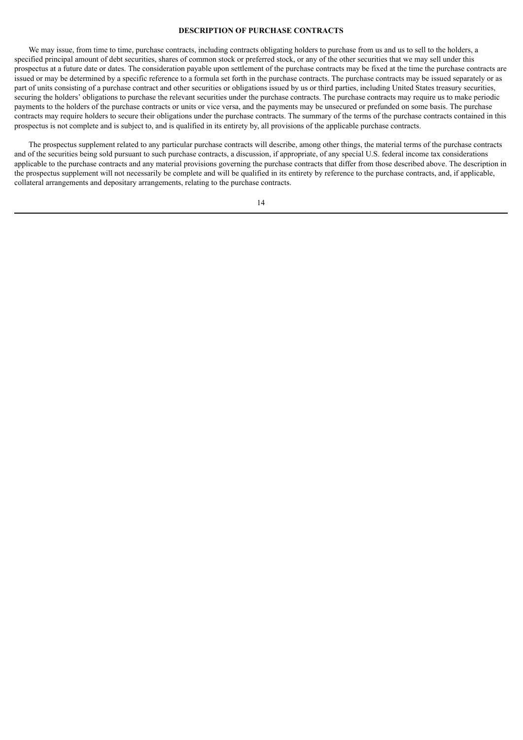# **DESCRIPTION OF PURCHASE CONTRACTS**

<span id="page-48-0"></span>We may issue, from time to time, purchase contracts, including contracts obligating holders to purchase from us and us to sell to the holders, a specified principal amount of debt securities, shares of common stock or preferred stock, or any of the other securities that we may sell under this prospectus at a future date or dates. The consideration payable upon settlement of the purchase contracts may be fixed at the time the purchase contracts are issued or may be determined by a specific reference to a formula set forth in the purchase contracts. The purchase contracts may be issued separately or as part of units consisting of a purchase contract and other securities or obligations issued by us or third parties, including United States treasury securities, securing the holders' obligations to purchase the relevant securities under the purchase contracts. The purchase contracts may require us to make periodic payments to the holders of the purchase contracts or units or vice versa, and the payments may be unsecured or prefunded on some basis. The purchase contracts may require holders to secure their obligations under the purchase contracts. The summary of the terms of the purchase contracts contained in this prospectus is not complete and is subject to, and is qualified in its entirety by, all provisions of the applicable purchase contracts.

The prospectus supplement related to any particular purchase contracts will describe, among other things, the material terms of the purchase contracts and of the securities being sold pursuant to such purchase contracts, a discussion, if appropriate, of any special U.S. federal income tax considerations applicable to the purchase contracts and any material provisions governing the purchase contracts that differ from those described above. The description in the prospectus supplement will not necessarily be complete and will be qualified in its entirety by reference to the purchase contracts, and, if applicable, collateral arrangements and depositary arrangements, relating to the purchase contracts.

# 14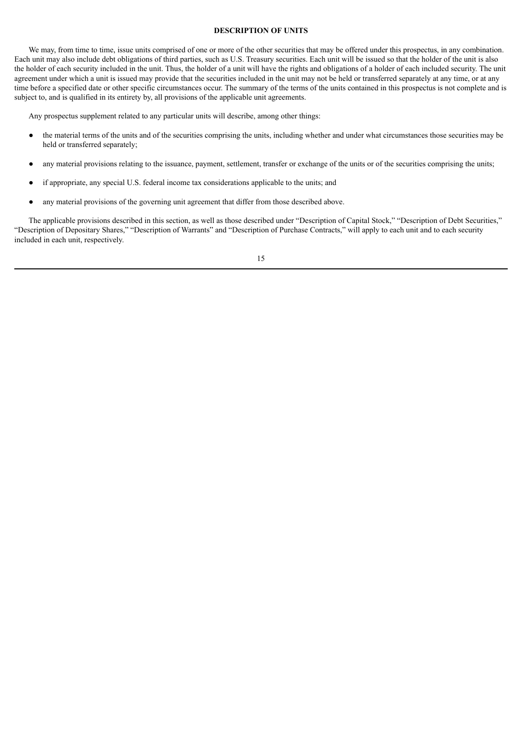# **DESCRIPTION OF UNITS**

<span id="page-49-0"></span>We may, from time to time, issue units comprised of one or more of the other securities that may be offered under this prospectus, in any combination. Each unit may also include debt obligations of third parties, such as U.S. Treasury securities. Each unit will be issued so that the holder of the unit is also the holder of each security included in the unit. Thus, the holder of a unit will have the rights and obligations of a holder of each included security. The unit agreement under which a unit is issued may provide that the securities included in the unit may not be held or transferred separately at any time, or at any time before a specified date or other specific circumstances occur. The summary of the terms of the units contained in this prospectus is not complete and is subject to, and is qualified in its entirety by, all provisions of the applicable unit agreements.

Any prospectus supplement related to any particular units will describe, among other things:

- the material terms of the units and of the securities comprising the units, including whether and under what circumstances those securities may be held or transferred separately;
- any material provisions relating to the issuance, payment, settlement, transfer or exchange of the units or of the securities comprising the units;
- if appropriate, any special U.S. federal income tax considerations applicable to the units; and
- any material provisions of the governing unit agreement that differ from those described above.

The applicable provisions described in this section, as well as those described under "Description of Capital Stock," "Description of Debt Securities," "Description of Depositary Shares," "Description of Warrants" and "Description of Purchase Contracts," will apply to each unit and to each security included in each unit, respectively.

15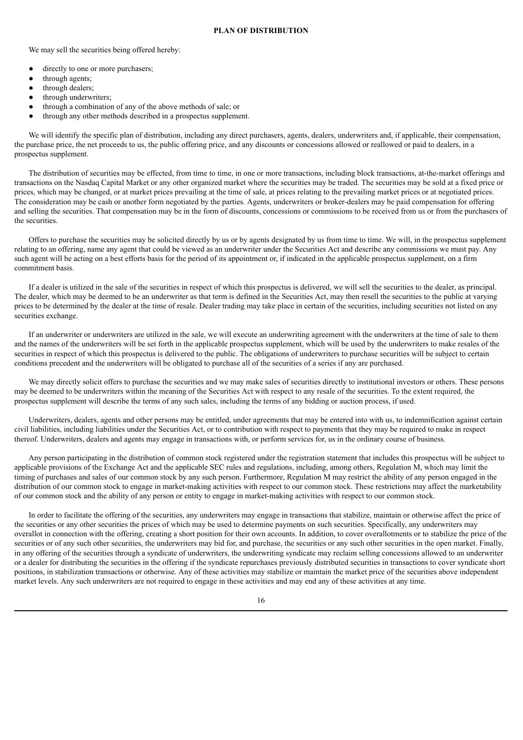<span id="page-50-0"></span>We may sell the securities being offered hereby:

- directly to one or more purchasers;
- through agents;
- through dealers;
- through underwriters;
- through a combination of any of the above methods of sale; or
- through any other methods described in a prospectus supplement.

We will identify the specific plan of distribution, including any direct purchasers, agents, dealers, underwriters and, if applicable, their compensation, the purchase price, the net proceeds to us, the public offering price, and any discounts or concessions allowed or reallowed or paid to dealers, in a prospectus supplement.

The distribution of securities may be effected, from time to time, in one or more transactions, including block transactions, at-the-market offerings and transactions on the Nasdaq Capital Market or any other organized market where the securities may be traded. The securities may be sold at a fixed price or prices, which may be changed, or at market prices prevailing at the time of sale, at prices relating to the prevailing market prices or at negotiated prices. The consideration may be cash or another form negotiated by the parties. Agents, underwriters or broker-dealers may be paid compensation for offering and selling the securities. That compensation may be in the form of discounts, concessions or commissions to be received from us or from the purchasers of the securities.

Offers to purchase the securities may be solicited directly by us or by agents designated by us from time to time. We will, in the prospectus supplement relating to an offering, name any agent that could be viewed as an underwriter under the Securities Act and describe any commissions we must pay. Any such agent will be acting on a best efforts basis for the period of its appointment or, if indicated in the applicable prospectus supplement, on a firm commitment basis.

If a dealer is utilized in the sale of the securities in respect of which this prospectus is delivered, we will sell the securities to the dealer, as principal. The dealer, which may be deemed to be an underwriter as that term is defined in the Securities Act, may then resell the securities to the public at varying prices to be determined by the dealer at the time of resale. Dealer trading may take place in certain of the securities, including securities not listed on any securities exchange.

If an underwriter or underwriters are utilized in the sale, we will execute an underwriting agreement with the underwriters at the time of sale to them and the names of the underwriters will be set forth in the applicable prospectus supplement, which will be used by the underwriters to make resales of the securities in respect of which this prospectus is delivered to the public. The obligations of underwriters to purchase securities will be subject to certain conditions precedent and the underwriters will be obligated to purchase all of the securities of a series if any are purchased.

We may directly solicit offers to purchase the securities and we may make sales of securities directly to institutional investors or others. These persons may be deemed to be underwriters within the meaning of the Securities Act with respect to any resale of the securities. To the extent required, the prospectus supplement will describe the terms of any such sales, including the terms of any bidding or auction process, if used.

Underwriters, dealers, agents and other persons may be entitled, under agreements that may be entered into with us, to indemnification against certain civil liabilities, including liabilities under the Securities Act, or to contribution with respect to payments that they may be required to make in respect thereof. Underwriters, dealers and agents may engage in transactions with, or perform services for, us in the ordinary course of business.

Any person participating in the distribution of common stock registered under the registration statement that includes this prospectus will be subject to applicable provisions of the Exchange Act and the applicable SEC rules and regulations, including, among others, Regulation M, which may limit the timing of purchases and sales of our common stock by any such person. Furthermore, Regulation M may restrict the ability of any person engaged in the distribution of our common stock to engage in market-making activities with respect to our common stock. These restrictions may affect the marketability of our common stock and the ability of any person or entity to engage in market-making activities with respect to our common stock.

In order to facilitate the offering of the securities, any underwriters may engage in transactions that stabilize, maintain or otherwise affect the price of the securities or any other securities the prices of which may be used to determine payments on such securities. Specifically, any underwriters may overallot in connection with the offering, creating a short position for their own accounts. In addition, to cover overallotments or to stabilize the price of the securities or of any such other securities, the underwriters may bid for, and purchase, the securities or any such other securities in the open market. Finally, in any offering of the securities through a syndicate of underwriters, the underwriting syndicate may reclaim selling concessions allowed to an underwriter or a dealer for distributing the securities in the offering if the syndicate repurchases previously distributed securities in transactions to cover syndicate short positions, in stabilization transactions or otherwise. Any of these activities may stabilize or maintain the market price of the securities above independent market levels. Any such underwriters are not required to engage in these activities and may end any of these activities at any time.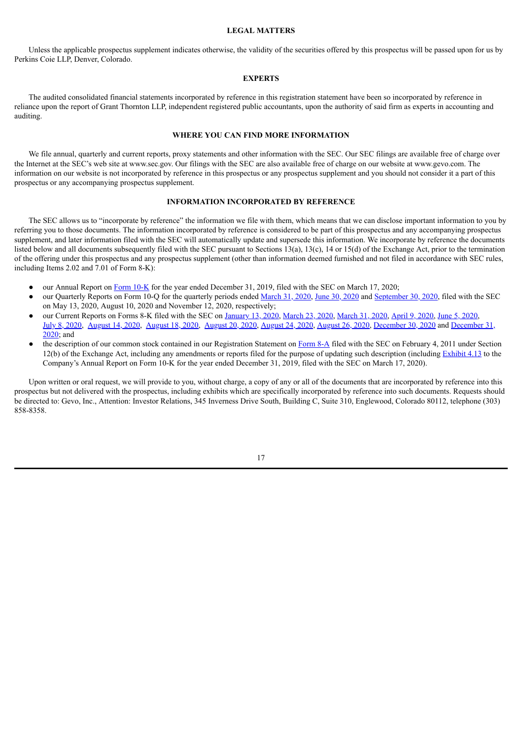#### **LEGAL MATTERS**

<span id="page-51-0"></span>Unless the applicable prospectus supplement indicates otherwise, the validity of the securities offered by this prospectus will be passed upon for us by Perkins Coie LLP, Denver, Colorado.

#### **EXPERTS**

<span id="page-51-1"></span>The audited consolidated financial statements incorporated by reference in this registration statement have been so incorporated by reference in reliance upon the report of Grant Thornton LLP, independent registered public accountants, upon the authority of said firm as experts in accounting and auditing.

#### **WHERE YOU CAN FIND MORE INFORMATION**

<span id="page-51-2"></span>We file annual, quarterly and current reports, proxy statements and other information with the SEC. Our SEC filings are available free of charge over the Internet at the SEC's web site at www.sec.gov. Our filings with the SEC are also available free of charge on our website at www.gevo.com. The information on our website is not incorporated by reference in this prospectus or any prospectus supplement and you should not consider it a part of this prospectus or any accompanying prospectus supplement.

#### **INFORMATION INCORPORATED BY REFERENCE**

<span id="page-51-3"></span>The SEC allows us to "incorporate by reference" the information we file with them, which means that we can disclose important information to you by referring you to those documents. The information incorporated by reference is considered to be part of this prospectus and any accompanying prospectus supplement, and later information filed with the SEC will automatically update and supersede this information. We incorporate by reference the documents listed below and all documents subsequently filed with the SEC pursuant to Sections 13(a), 13(c), 14 or 15(d) of the Exchange Act, prior to the termination of the offering under this prospectus and any prospectus supplement (other than information deemed furnished and not filed in accordance with SEC rules, including Items 2.02 and 7.01 of Form 8-K):

- our Annual Report on [Form](http://www.sec.gov/Archives/edgar/data/1392380/000143774920005495/gevo20191231_10k.htm) 10-K for the year ended December 31, 2019, filed with the SEC on March 17, 2020;
- our Quarterly Reports on Form 10-Q for the quarterly periods ended [March](http://www.sec.gov/Archives/edgar/data/1392380/000143774920010455/gevo20200331_10q.htm) 31, [2020](http://www.sec.gov/Archives/edgar/data/1392380/000143774920017367/gevo20200630_10q.htm), June 30, 2020 and [September](http://www.sec.gov/Archives/edgar/data/1392380/000143774920023414/gevo20200930_10q.htm) 30, 2020, filed with the SEC on May 13, 2020, August 10, 2020 and November 12, 2020, respectively;
- our Current Reports on Forms 8-K filed with the SEC on [January](http://www.sec.gov/Archives/edgar/data/1392380/000143774920000496/gevo20200110_8k.htm) 13, 2020, [March](http://www.sec.gov/Archives/edgar/data/1392380/000143774920006602/gevo20200330_8k.htm) 23, 2020, March 31, 2020, [April](http://www.sec.gov/Archives/edgar/data/1392380/000143774920007376/gevo20200407_8k.htm) 9, [2020,](http://www.sec.gov/Archives/edgar/data/1392380/000143774920012535/gevo20200604_8k.htm) June 5, 2020, July 8, [2020](http://www.sec.gov/Archives/edgar/data/1392380/000143774920014844/gevo20200708_8k.htm), [August](http://www.sec.gov/Archives/edgar/data/1392380/000143774920018036/gevo20200813_8k.htm) 14, 2020, [August](http://www.sec.gov/Archives/edgar/data/1392380/000143774920018219/gevo20200817_8k.htm) 18, 2020, [August](http://www.sec.gov/Archives/edgar/data/1392380/000143774920018416/gevo20200819_8k.htm) 20, 2020, [August](http://www.sec.gov/Archives/edgar/data/1392380/000143774920018618/gevo20200821_8k.htm) 24, 2020, [August](http://www.sec.gov/Archives/edgar/data/1392380/000143774920018749/gevo20200826_8k.htm) 26, 2020, [December](http://www.sec.gov/Archives/edgar/data/1392380/000143774920026088/gevo20201221_8k.htm) 30, 2020 and [December](http://www.sec.gov/Archives/edgar/data/1392380/000143774920026222/gevo20201231_8k.htm) 31, 2020; and
- the description of our common stock contained in our Registration Statement on [Form](http://www.sec.gov/Archives/edgar/data/1392380/000119312511024122/d8a12b.htm) 8-A filed with the SEC on February 4, 2011 under Section 12(b) of the Exchange Act, including any amendments or reports filed for the purpose of updating such description (including [Exhibit](http://www.sec.gov/Archives/edgar/data/1392380/000143774920005495/ex_177221.htm) 4.13 to the Company's Annual Report on Form 10-K for the year ended December 31, 2019, filed with the SEC on March 17, 2020).

Upon written or oral request, we will provide to you, without charge, a copy of any or all of the documents that are incorporated by reference into this prospectus but not delivered with the prospectus, including exhibits which are specifically incorporated by reference into such documents. Requests should be directed to: Gevo, Inc., Attention: Investor Relations, 345 Inverness Drive South, Building C, Suite 310, Englewood, Colorado 80112, telephone (303) 858-8358.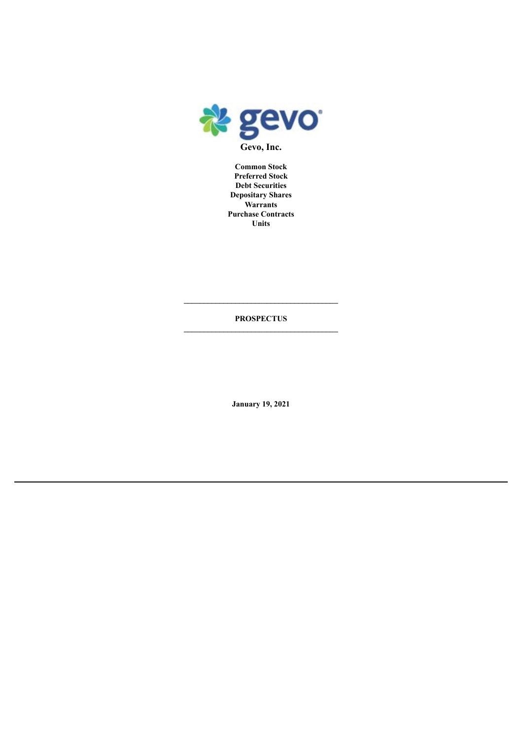

**Common Stock Preferred Stock Debt Securities Depositary Shares Warrants Purchase Contracts Units**

**PROSPECTUS**

**January 19, 2021**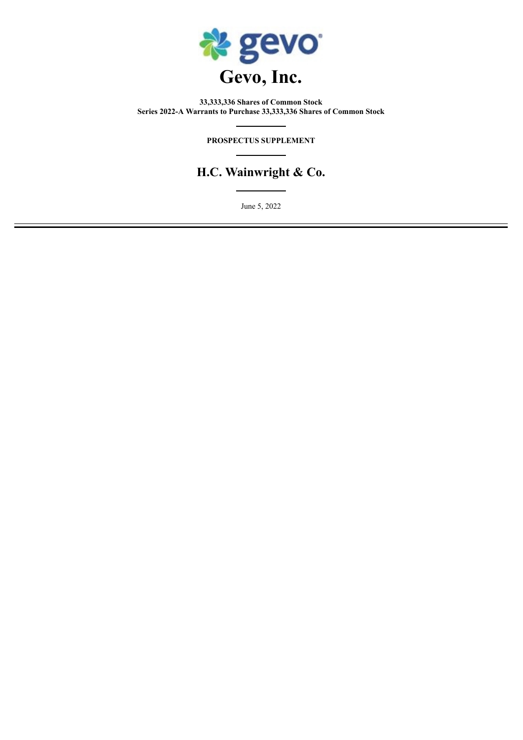

**33,333,336 Shares of Common Stock Series 2022-A Warrants to Purchase 33,333,336 Shares of Common Stock**

# **PROSPECTUS SUPPLEMENT**

# **H.C. Wainwright & Co.**

June 5, 2022